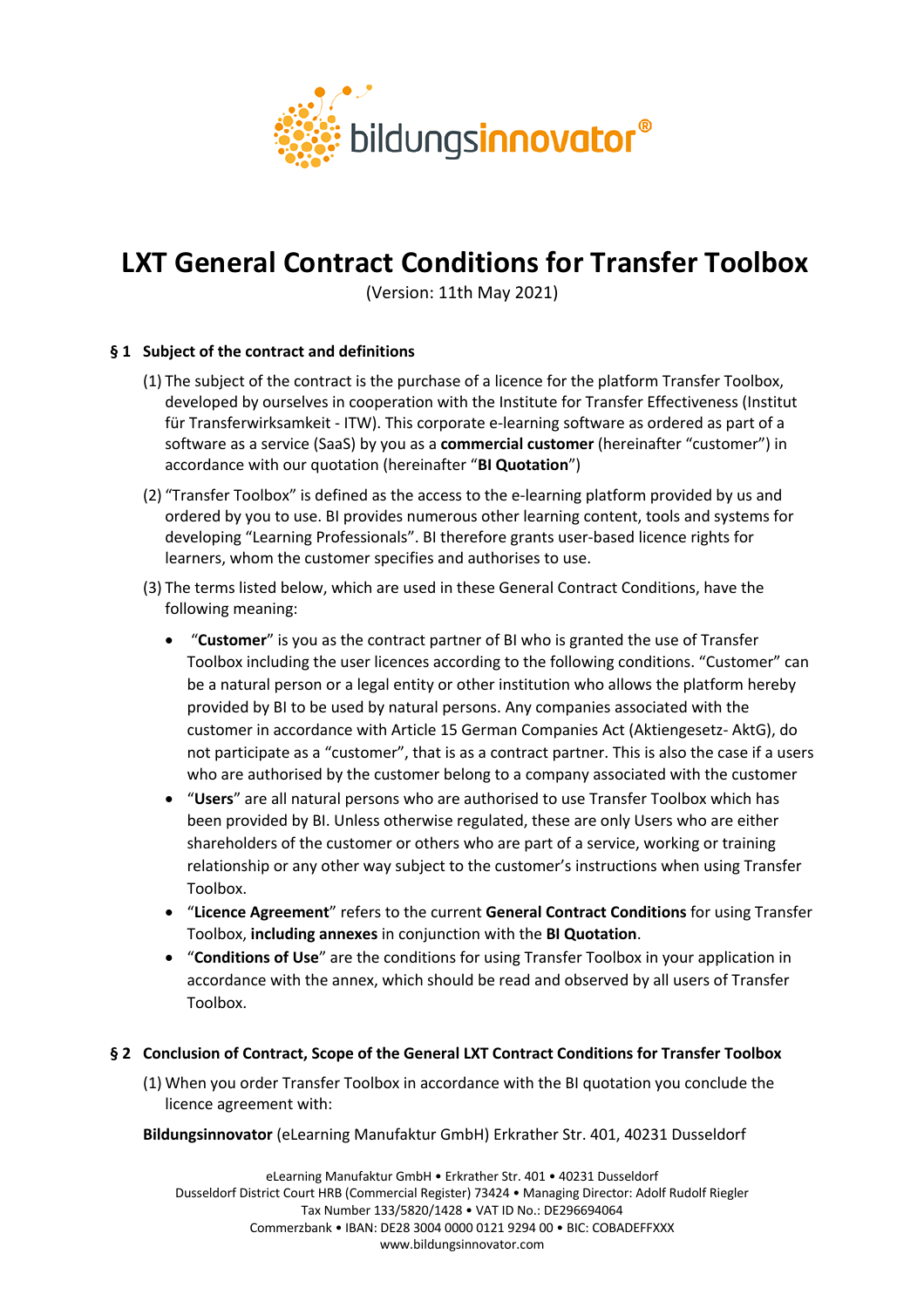

# **LXT General Contract Conditions for Transfer Toolbox**

(Version: 11th May 2021)

# **§ 1 Subject of the contract and definitions**

- (1) The subject of the contract is the purchase of a licence for the platform Transfer Toolbox, developed by ourselves in cooperation with the Institute for Transfer Effectiveness (Institut für Transferwirksamkeit - ITW). This corporate e-learning software as ordered as part of a software as a service (SaaS) by you as a **commercial customer** (hereinafter "customer") in accordance with our quotation (hereinafter "**BI Quotation**")
- (2) "Transfer Toolbox" is defined as the access to the e-learning platform provided by us and ordered by you to use. BI provides numerous other learning content, tools and systems for developing "Learning Professionals". BI therefore grants user-based licence rights for learners, whom the customer specifies and authorises to use.
- (3) The terms listed below, which are used in these General Contract Conditions, have the following meaning:
	- "**Customer**" is you as the contract partner of BI who is granted the use of Transfer Toolbox including the user licences according to the following conditions. "Customer" can be a natural person or a legal entity or other institution who allows the platform hereby provided by BI to be used by natural persons. Any companies associated with the customer in accordance with Article 15 German Companies Act (Aktiengesetz- AktG), do not participate as a "customer", that is as a contract partner. This is also the case if a users who are authorised by the customer belong to a company associated with the customer
	- "**Users**" are all natural persons who are authorised to use Transfer Toolbox which has been provided by BI. Unless otherwise regulated, these are only Users who are either shareholders of the customer or others who are part of a service, working or training relationship or any other way subject to the customer's instructions when using Transfer Toolbox.
	- "**Licence Agreement**" refers to the current **General Contract Conditions** for using Transfer Toolbox, **including annexes** in conjunction with the **BI Quotation**.
	- "**Conditions of Use**" are the conditions for using Transfer Toolbox in your application in accordance with the annex, which should be read and observed by all users of Transfer Toolbox.

# **§ 2 Conclusion of Contract, Scope of the General LXT Contract Conditions for Transfer Toolbox**

- (1) When you order Transfer Toolbox in accordance with the BI quotation you conclude the licence agreement with:
- **Bildungsinnovator** (eLearning Manufaktur GmbH) Erkrather Str. 401, 40231 Dusseldorf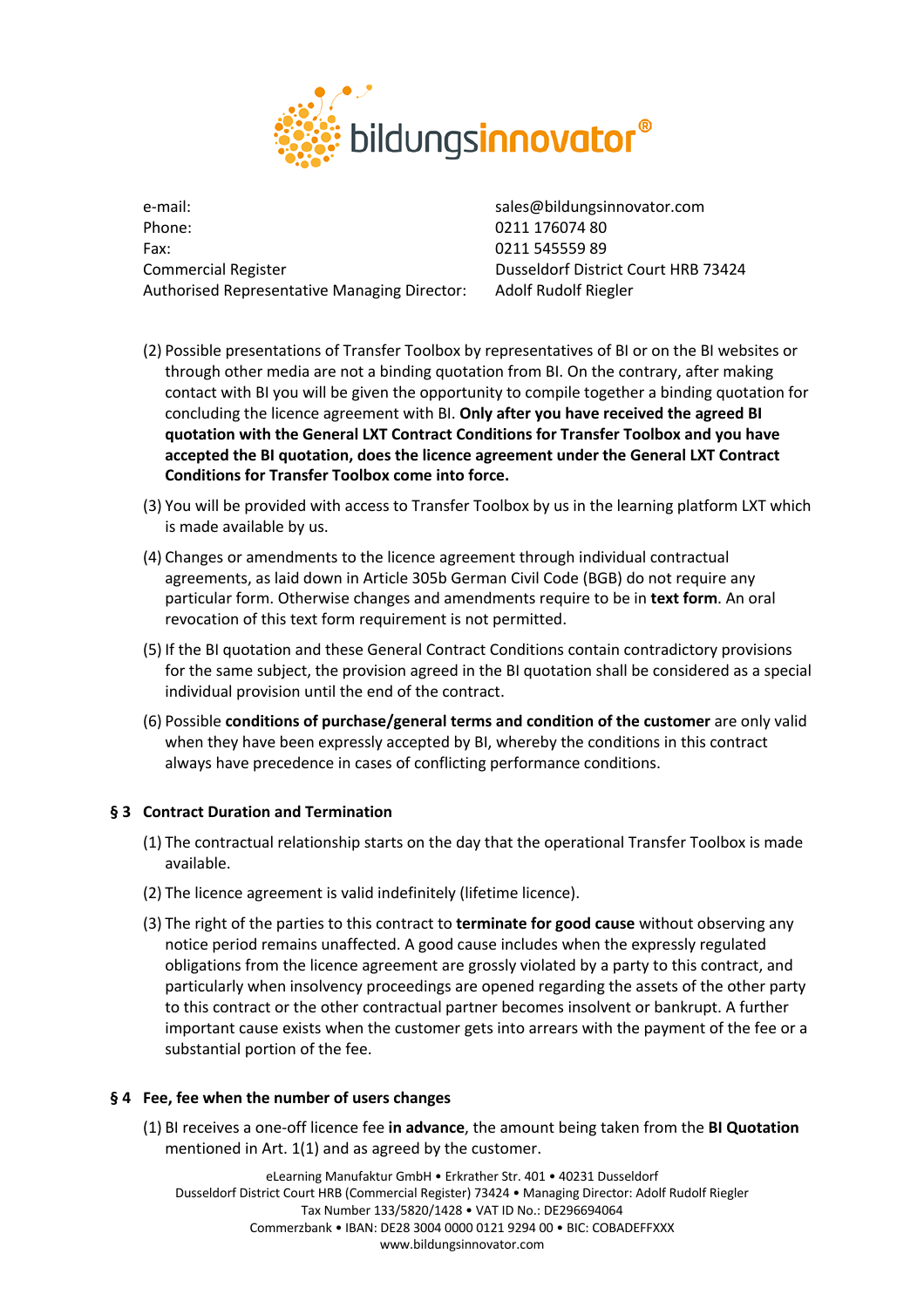

e-mail: sales@bildungsinnovator.com Phone: 0211 176074 80 Fax: 0211 545559 89 Commercial Register The Court HRB 73424 Authorised Representative Managing Director: Adolf Rudolf Riegler

- (2) Possible presentations of Transfer Toolbox by representatives of BI or on the BI websites or through other media are not a binding quotation from BI. On the contrary, after making contact with BI you will be given the opportunity to compile together a binding quotation for concluding the licence agreement with BI. **Only after you have received the agreed BI quotation with the General LXT Contract Conditions for Transfer Toolbox and you have accepted the BI quotation, does the licence agreement under the General LXT Contract Conditions for Transfer Toolbox come into force.**
- (3) You will be provided with access to Transfer Toolbox by us in the learning platform LXT which is made available by us.
- (4) Changes or amendments to the licence agreement through individual contractual agreements, as laid down in Article 305b German Civil Code (BGB) do not require any particular form. Otherwise changes and amendments require to be in **text form**. An oral revocation of this text form requirement is not permitted.
- (5) If the BI quotation and these General Contract Conditions contain contradictory provisions for the same subject, the provision agreed in the BI quotation shall be considered as a special individual provision until the end of the contract.
- (6) Possible **conditions of purchase/general terms and condition of the customer** are only valid when they have been expressly accepted by BI, whereby the conditions in this contract always have precedence in cases of conflicting performance conditions.

# **§ 3 Contract Duration and Termination**

- (1) The contractual relationship starts on the day that the operational Transfer Toolbox is made available.
- (2) The licence agreement is valid indefinitely (lifetime licence).
- (3) The right of the parties to this contract to **terminate for good cause** without observing any notice period remains unaffected. A good cause includes when the expressly regulated obligations from the licence agreement are grossly violated by a party to this contract, and particularly when insolvency proceedings are opened regarding the assets of the other party to this contract or the other contractual partner becomes insolvent or bankrupt. A further important cause exists when the customer gets into arrears with the payment of the fee or a substantial portion of the fee.

# **§ 4 Fee, fee when the number of users changes**

(1) BI receives a one-off licence fee **in advance**, the amount being taken from the **BI Quotation** mentioned in Art. 1(1) and as agreed by the customer.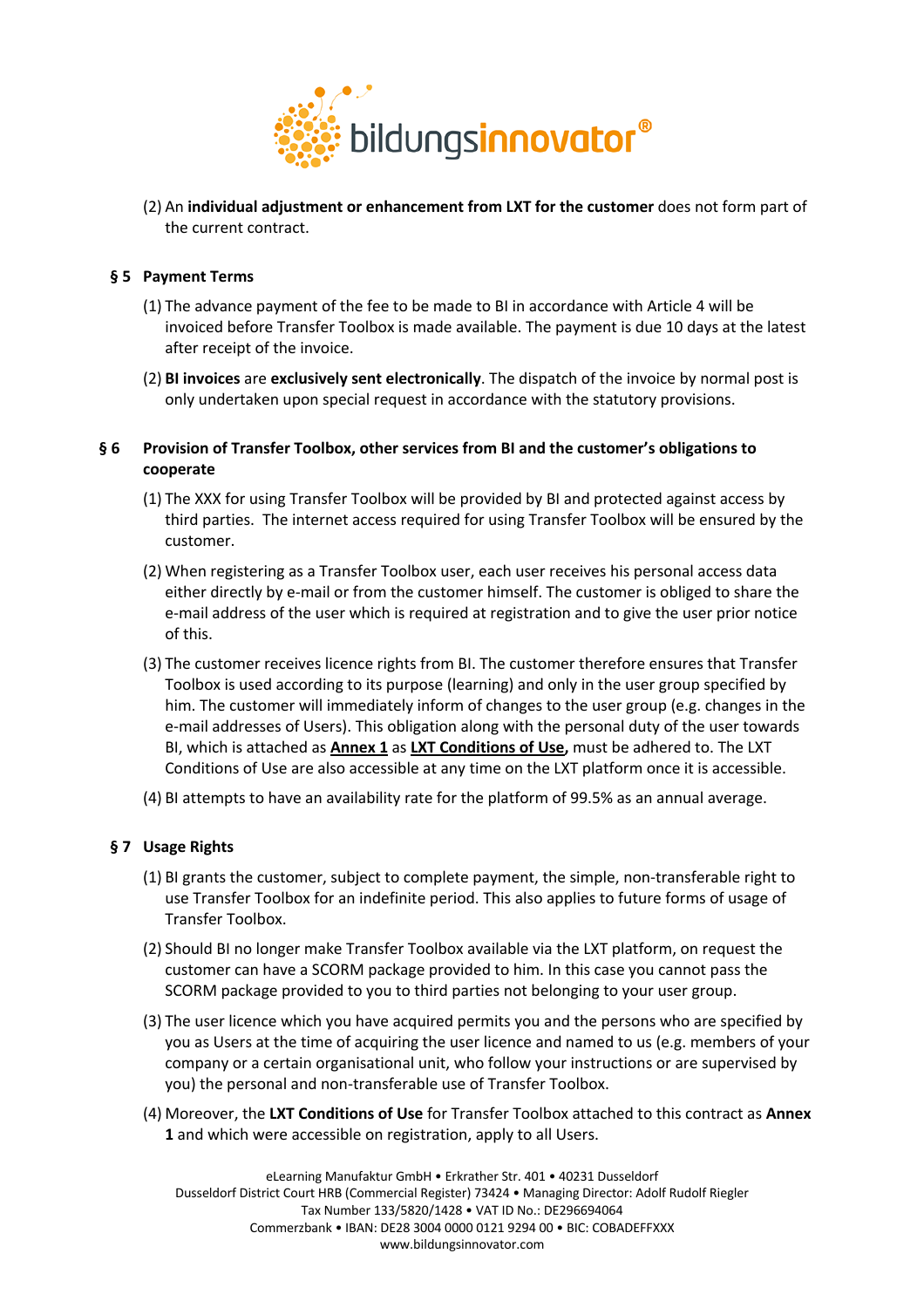

(2) An **individual adjustment or enhancement from LXT for the customer** does not form part of the current contract.

# **§ 5 Payment Terms**

- (1) The advance payment of the fee to be made to BI in accordance with Article 4 will be invoiced before Transfer Toolbox is made available. The payment is due 10 days at the latest after receipt of the invoice.
- (2) **BI invoices** are **exclusively sent electronically**. The dispatch of the invoice by normal post is only undertaken upon special request in accordance with the statutory provisions.

# **§ 6 Provision of Transfer Toolbox, other services from BI and the customer's obligations to cooperate**

- (1) The XXX for using Transfer Toolbox will be provided by BI and protected against access by third parties. The internet access required for using Transfer Toolbox will be ensured by the customer.
- (2) When registering as a Transfer Toolbox user, each user receives his personal access data either directly by e-mail or from the customer himself. The customer is obliged to share the e-mail address of the user which is required at registration and to give the user prior notice of this.
- (3) The customer receives licence rights from BI. The customer therefore ensures that Transfer Toolbox is used according to its purpose (learning) and only in the user group specified by him. The customer will immediately inform of changes to the user group (e.g. changes in the e-mail addresses of Users). This obligation along with the personal duty of the user towards BI, which is attached as **Annex 1** as **LXT Conditions of Use,** must be adhered to. The LXT Conditions of Use are also accessible at any time on the LXT platform once it is accessible.
- (4) BI attempts to have an availability rate for the platform of 99.5% as an annual average.

# **§ 7 Usage Rights**

- (1) BI grants the customer, subject to complete payment, the simple, non-transferable right to use Transfer Toolbox for an indefinite period. This also applies to future forms of usage of Transfer Toolbox.
- (2) Should BI no longer make Transfer Toolbox available via the LXT platform, on request the customer can have a SCORM package provided to him. In this case you cannot pass the SCORM package provided to you to third parties not belonging to your user group.
- (3) The user licence which you have acquired permits you and the persons who are specified by you as Users at the time of acquiring the user licence and named to us (e.g. members of your company or a certain organisational unit, who follow your instructions or are supervised by you) the personal and non-transferable use of Transfer Toolbox.
- (4) Moreover, the **LXT Conditions of Use** for Transfer Toolbox attached to this contract as **Annex 1** and which were accessible on registration, apply to all Users.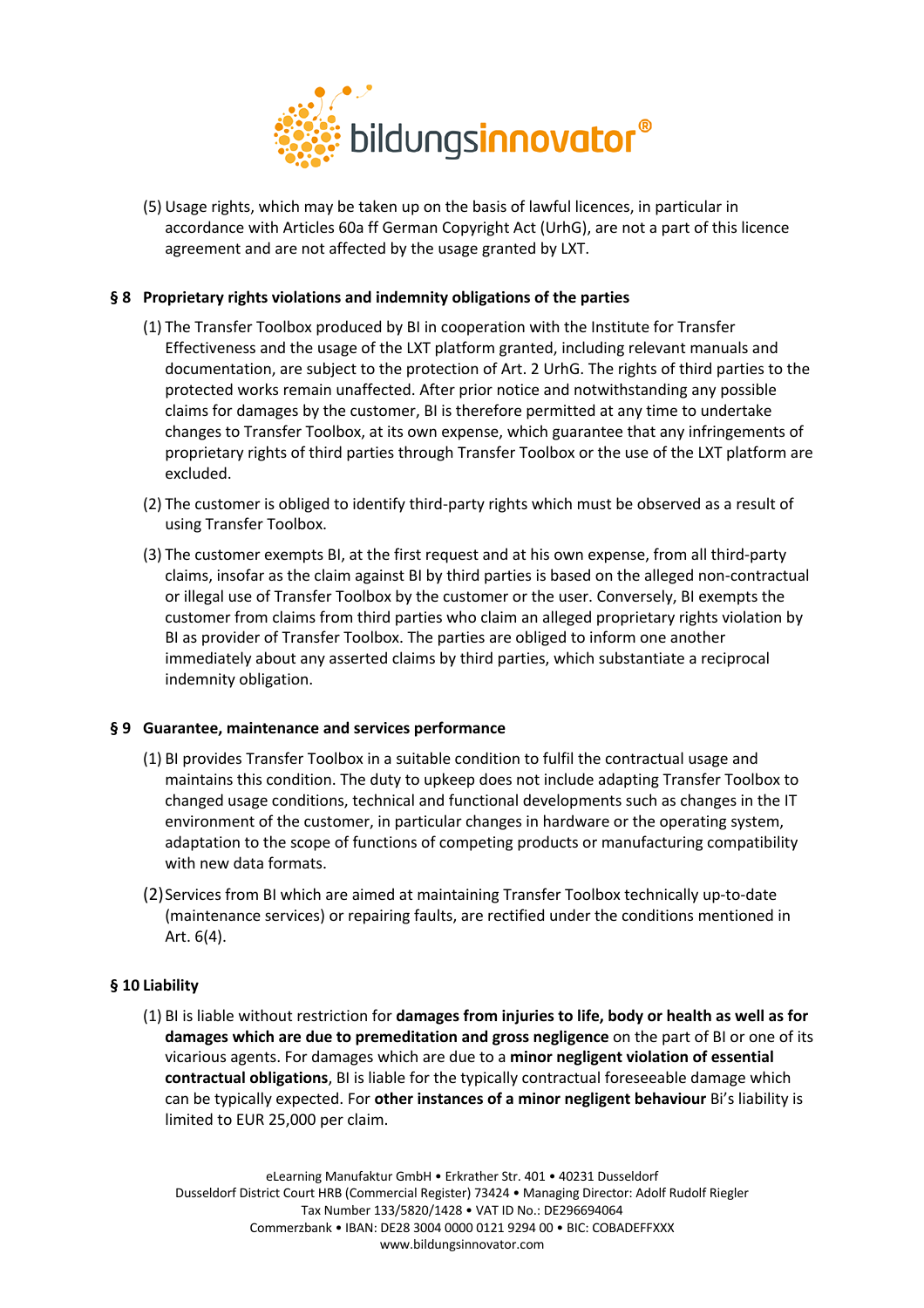

(5) Usage rights, which may be taken up on the basis of lawful licences, in particular in accordance with Articles 60a ff German Copyright Act (UrhG), are not a part of this licence agreement and are not affected by the usage granted by LXT.

# **§ 8 Proprietary rights violations and indemnity obligations of the parties**

- (1) The Transfer Toolbox produced by BI in cooperation with the Institute for Transfer Effectiveness and the usage of the LXT platform granted, including relevant manuals and documentation, are subject to the protection of Art. 2 UrhG. The rights of third parties to the protected works remain unaffected. After prior notice and notwithstanding any possible claims for damages by the customer, BI is therefore permitted at any time to undertake changes to Transfer Toolbox, at its own expense, which guarantee that any infringements of proprietary rights of third parties through Transfer Toolbox or the use of the LXT platform are excluded.
- (2) The customer is obliged to identify third-party rights which must be observed as a result of using Transfer Toolbox.
- (3) The customer exempts BI, at the first request and at his own expense, from all third-party claims, insofar as the claim against BI by third parties is based on the alleged non-contractual or illegal use of Transfer Toolbox by the customer or the user. Conversely, BI exempts the customer from claims from third parties who claim an alleged proprietary rights violation by BI as provider of Transfer Toolbox. The parties are obliged to inform one another immediately about any asserted claims by third parties, which substantiate a reciprocal indemnity obligation.

# **§ 9 Guarantee, maintenance and services performance**

- (1) BI provides Transfer Toolbox in a suitable condition to fulfil the contractual usage and maintains this condition. The duty to upkeep does not include adapting Transfer Toolbox to changed usage conditions, technical and functional developments such as changes in the IT environment of the customer, in particular changes in hardware or the operating system, adaptation to the scope of functions of competing products or manufacturing compatibility with new data formats.
- (2)Services from BI which are aimed at maintaining Transfer Toolbox technically up-to-date (maintenance services) or repairing faults, are rectified under the conditions mentioned in Art. 6(4).

# **§ 10 Liability**

(1) BI is liable without restriction for **damages from injuries to life, body or health as well as for damages which are due to premeditation and gross negligence** on the part of BI or one of its vicarious agents. For damages which are due to a **minor negligent violation of essential contractual obligations**, BI is liable for the typically contractual foreseeable damage which can be typically expected. For **other instances of a minor negligent behaviour** Bi's liability is limited to EUR 25,000 per claim.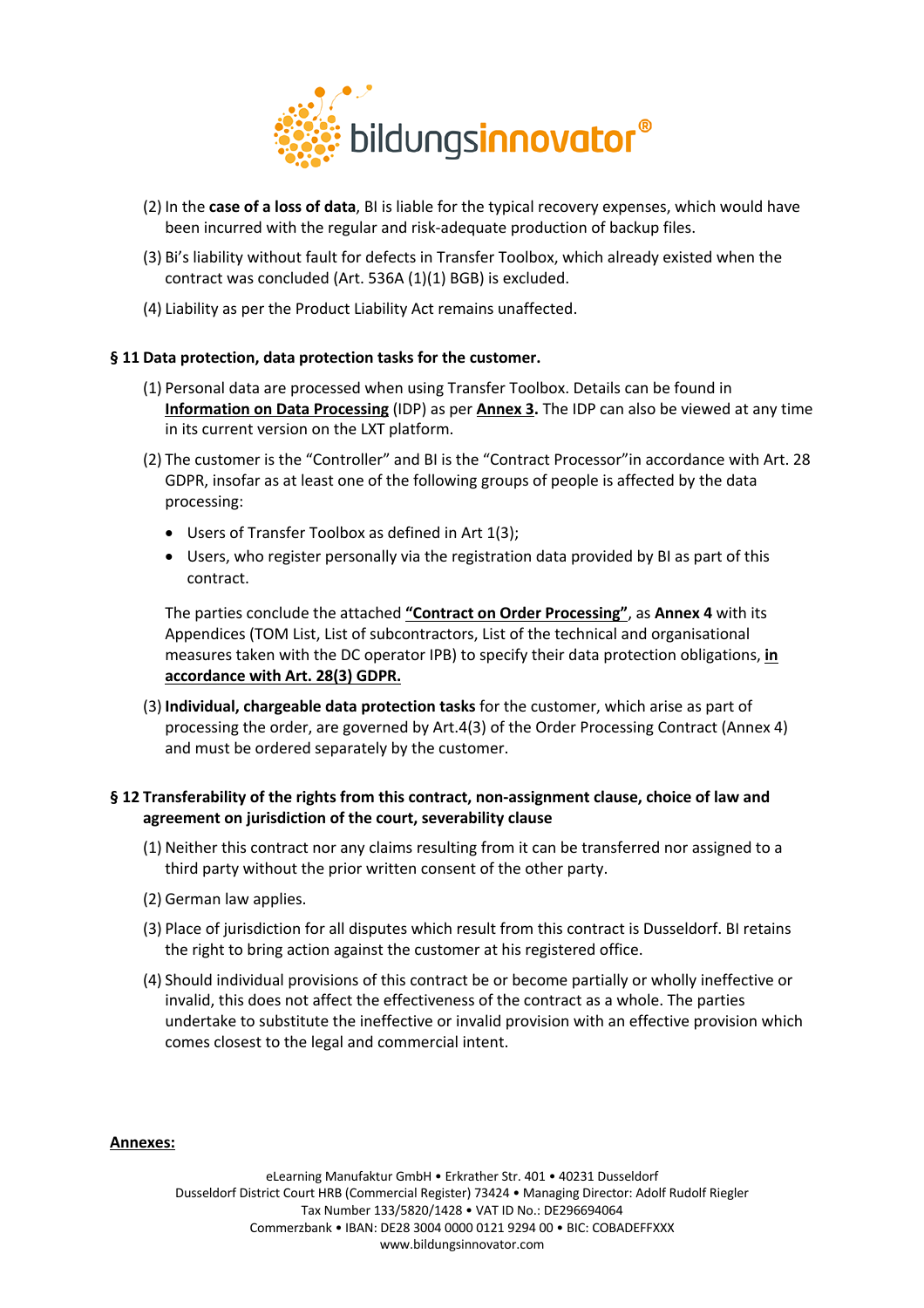

- (2) In the **case of a loss of data**, BI is liable for the typical recovery expenses, which would have been incurred with the regular and risk-adequate production of backup files.
- (3) Bi's liability without fault for defects in Transfer Toolbox, which already existed when the contract was concluded (Art. 536A (1)(1) BGB) is excluded.
- (4) Liability as per the Product Liability Act remains unaffected.

# **§ 11 Data protection, data protection tasks for the customer.**

- (1) Personal data are processed when using Transfer Toolbox. Details can be found in **Information on Data Processing** (IDP) as per **Annex 3.** The IDP can also be viewed at any time in its current version on the LXT platform.
- (2) The customer is the "Controller" and BI is the "Contract Processor"in accordance with Art. 28 GDPR, insofar as at least one of the following groups of people is affected by the data processing:
	- Users of Transfer Toolbox as defined in Art 1(3);
	- Users, who register personally via the registration data provided by BI as part of this contract.

The parties conclude the attached **"Contract on Order Processing"**, as **Annex 4** with its Appendices (TOM List, List of subcontractors, List of the technical and organisational measures taken with the DC operator IPB) to specify their data protection obligations, **in accordance with Art. 28(3) GDPR.**

(3) **Individual, chargeable data protection tasks** for the customer, which arise as part of processing the order, are governed by Art.4(3) of the Order Processing Contract (Annex 4) and must be ordered separately by the customer.

# **§ 12 Transferability of the rights from this contract, non-assignment clause, choice of law and agreement on jurisdiction of the court, severability clause**

- (1) Neither this contract nor any claims resulting from it can be transferred nor assigned to a third party without the prior written consent of the other party.
- (2) German law applies.
- (3) Place of jurisdiction for all disputes which result from this contract is Dusseldorf. BI retains the right to bring action against the customer at his registered office.
- (4) Should individual provisions of this contract be or become partially or wholly ineffective or invalid, this does not affect the effectiveness of the contract as a whole. The parties undertake to substitute the ineffective or invalid provision with an effective provision which comes closest to the legal and commercial intent.

# **Annexes:**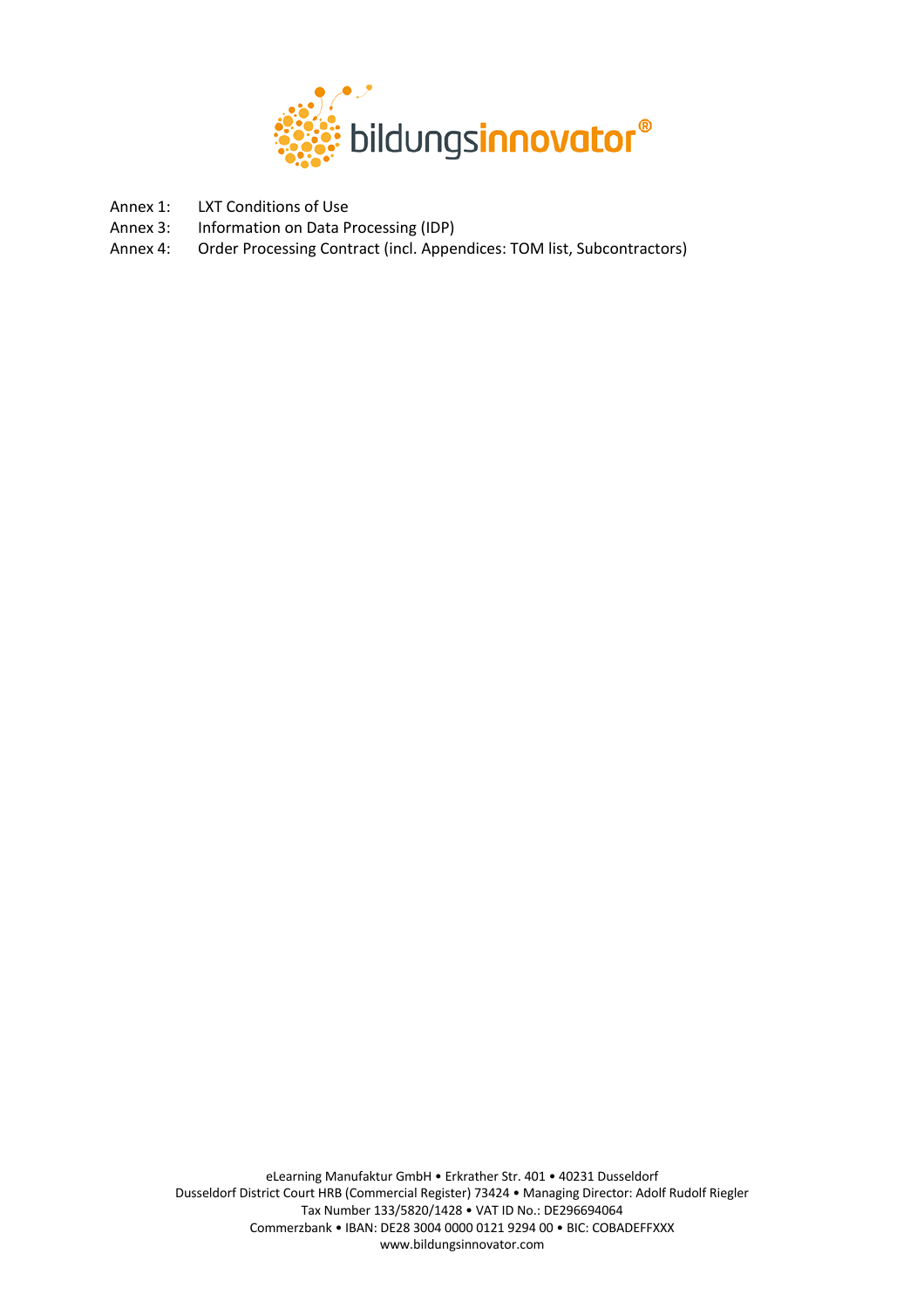

- Annex 1: LXT Conditions of Use
- Annex 3: Information on Data Processing (IDP)
- Annex 4: Order Processing Contract (incl. Appendices: TOM list, Subcontractors)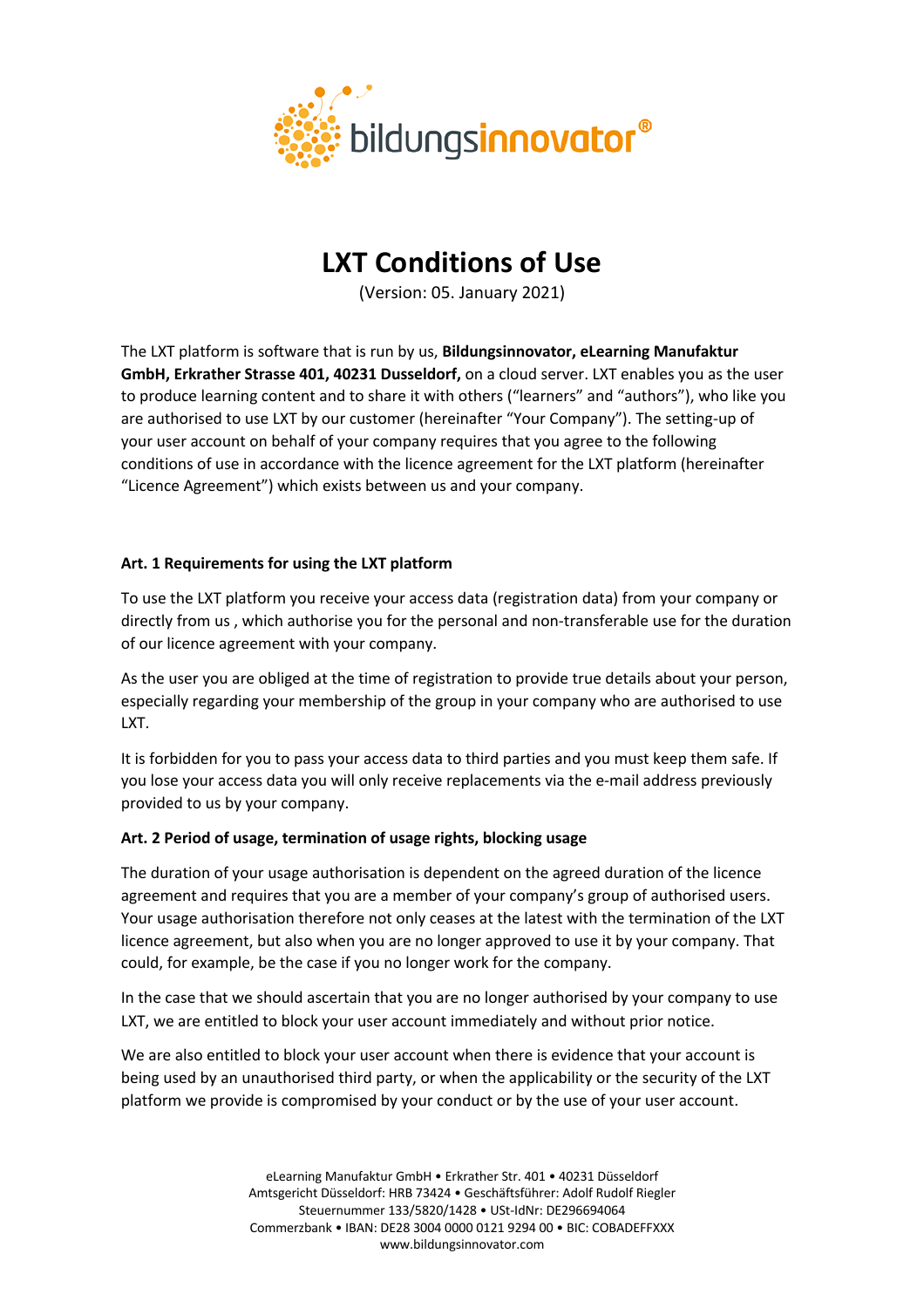

# **LXT Conditions of Use**

(Version: 05. January 2021)

The LXT platform is software that is run by us, **Bildungsinnovator, eLearning Manufaktur GmbH, Erkrather Strasse 401, 40231 Dusseldorf,** on a cloud server. LXT enables you as the user to produce learning content and to share it with others ("learners" and "authors"), who like you are authorised to use LXT by our customer (hereinafter "Your Company"). The setting-up of your user account on behalf of your company requires that you agree to the following conditions of use in accordance with the licence agreement for the LXT platform (hereinafter "Licence Agreement") which exists between us and your company.

# **Art. 1 Requirements for using the LXT platform**

To use the LXT platform you receive your access data (registration data) from your company or directly from us , which authorise you for the personal and non-transferable use for the duration of our licence agreement with your company.

As the user you are obliged at the time of registration to provide true details about your person, especially regarding your membership of the group in your company who are authorised to use LXT.

It is forbidden for you to pass your access data to third parties and you must keep them safe. If you lose your access data you will only receive replacements via the e-mail address previously provided to us by your company.

# **Art. 2 Period of usage, termination of usage rights, blocking usage**

The duration of your usage authorisation is dependent on the agreed duration of the licence agreement and requires that you are a member of your company's group of authorised users. Your usage authorisation therefore not only ceases at the latest with the termination of the LXT licence agreement, but also when you are no longer approved to use it by your company. That could, for example, be the case if you no longer work for the company.

In the case that we should ascertain that you are no longer authorised by your company to use LXT, we are entitled to block your user account immediately and without prior notice.

We are also entitled to block your user account when there is evidence that your account is being used by an unauthorised third party, or when the applicability or the security of the LXT platform we provide is compromised by your conduct or by the use of your user account.

> eLearning Manufaktur GmbH • Erkrather Str. 401 • 40231 Düsseldorf Amtsgericht Düsseldorf: HRB 73424 • Geschäftsführer: Adolf Rudolf Riegler Steuernummer 133/5820/1428 • USt-IdNr: DE296694064 Commerzbank • IBAN: DE28 3004 0000 0121 9294 00 • BIC: COBADEFFXXX www.bildungsinnovator.com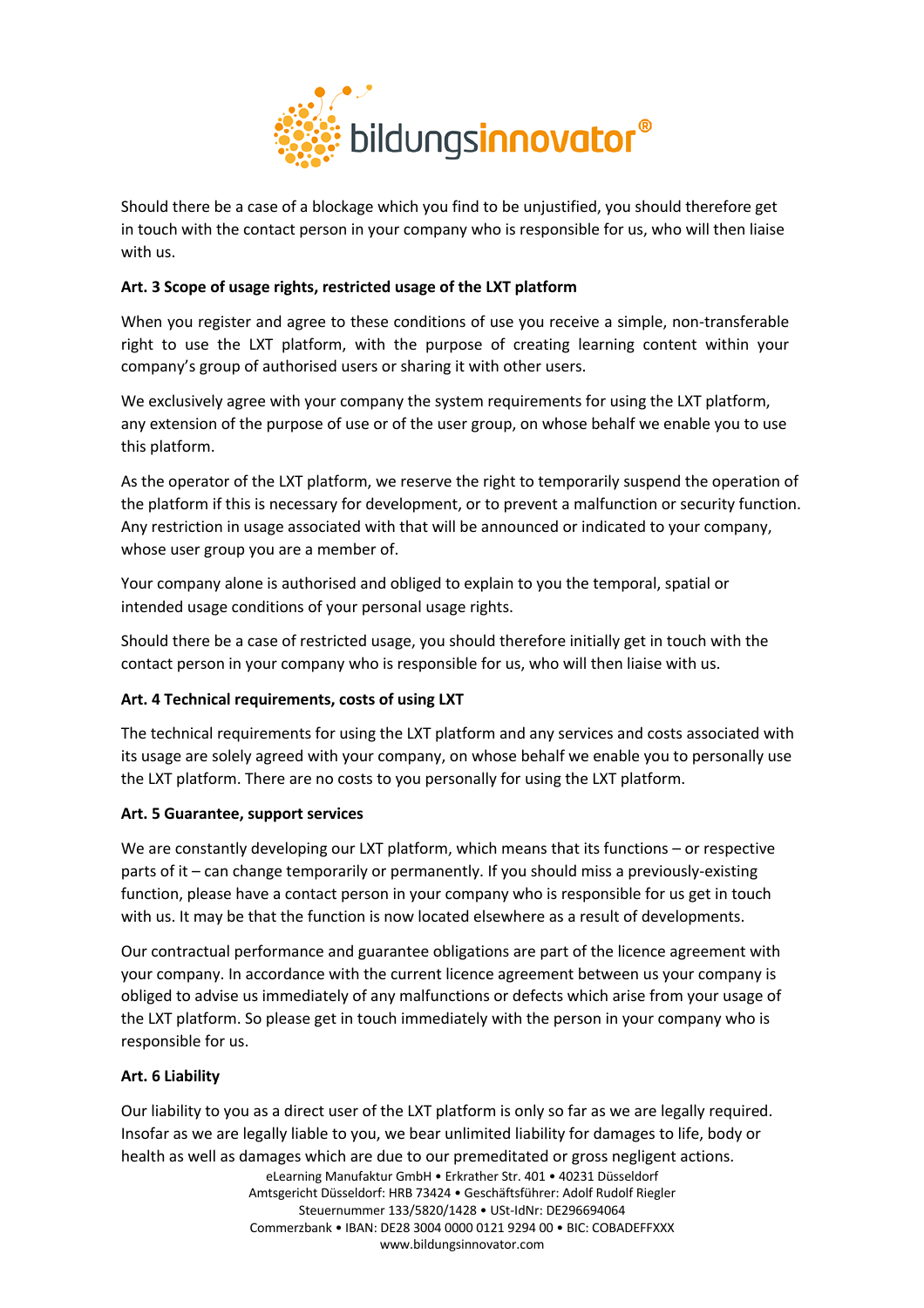

Should there be a case of a blockage which you find to be unjustified, you should therefore get in touch with the contact person in your company who is responsible for us, who will then liaise with us.

# **Art. 3 Scope of usage rights, restricted usage of the LXT platform**

When you register and agree to these conditions of use you receive a simple, non-transferable right to use the LXT platform, with the purpose of creating learning content within your company's group of authorised users or sharing it with other users.

We exclusively agree with your company the system requirements for using the LXT platform, any extension of the purpose of use or of the user group, on whose behalf we enable you to use this platform.

As the operator of the LXT platform, we reserve the right to temporarily suspend the operation of the platform if this is necessary for development, or to prevent a malfunction or security function. Any restriction in usage associated with that will be announced or indicated to your company, whose user group you are a member of.

Your company alone is authorised and obliged to explain to you the temporal, spatial or intended usage conditions of your personal usage rights.

Should there be a case of restricted usage, you should therefore initially get in touch with the contact person in your company who is responsible for us, who will then liaise with us.

# **Art. 4 Technical requirements, costs of using LXT**

The technical requirements for using the LXT platform and any services and costs associated with its usage are solely agreed with your company, on whose behalf we enable you to personally use the LXT platform. There are no costs to you personally for using the LXT platform.

# **Art. 5 Guarantee, support services**

We are constantly developing our LXT platform, which means that its functions – or respective parts of it – can change temporarily or permanently. If you should miss a previously-existing function, please have a contact person in your company who is responsible for us get in touch with us. It may be that the function is now located elsewhere as a result of developments.

Our contractual performance and guarantee obligations are part of the licence agreement with your company. In accordance with the current licence agreement between us your company is obliged to advise us immediately of any malfunctions or defects which arise from your usage of the LXT platform. So please get in touch immediately with the person in your company who is responsible for us.

# **Art. 6 Liability**

Our liability to you as a direct user of the LXT platform is only so far as we are legally required. Insofar as we are legally liable to you, we bear unlimited liability for damages to life, body or health as well as damages which are due to our premeditated or gross negligent actions.

> eLearning Manufaktur GmbH • Erkrather Str. 401 • 40231 Düsseldorf Amtsgericht Düsseldorf: HRB 73424 • Geschäftsführer: Adolf Rudolf Riegler Steuernummer 133/5820/1428 • USt-IdNr: DE296694064 Commerzbank • IBAN: DE28 3004 0000 0121 9294 00 • BIC: COBADEFFXXX www.bildungsinnovator.com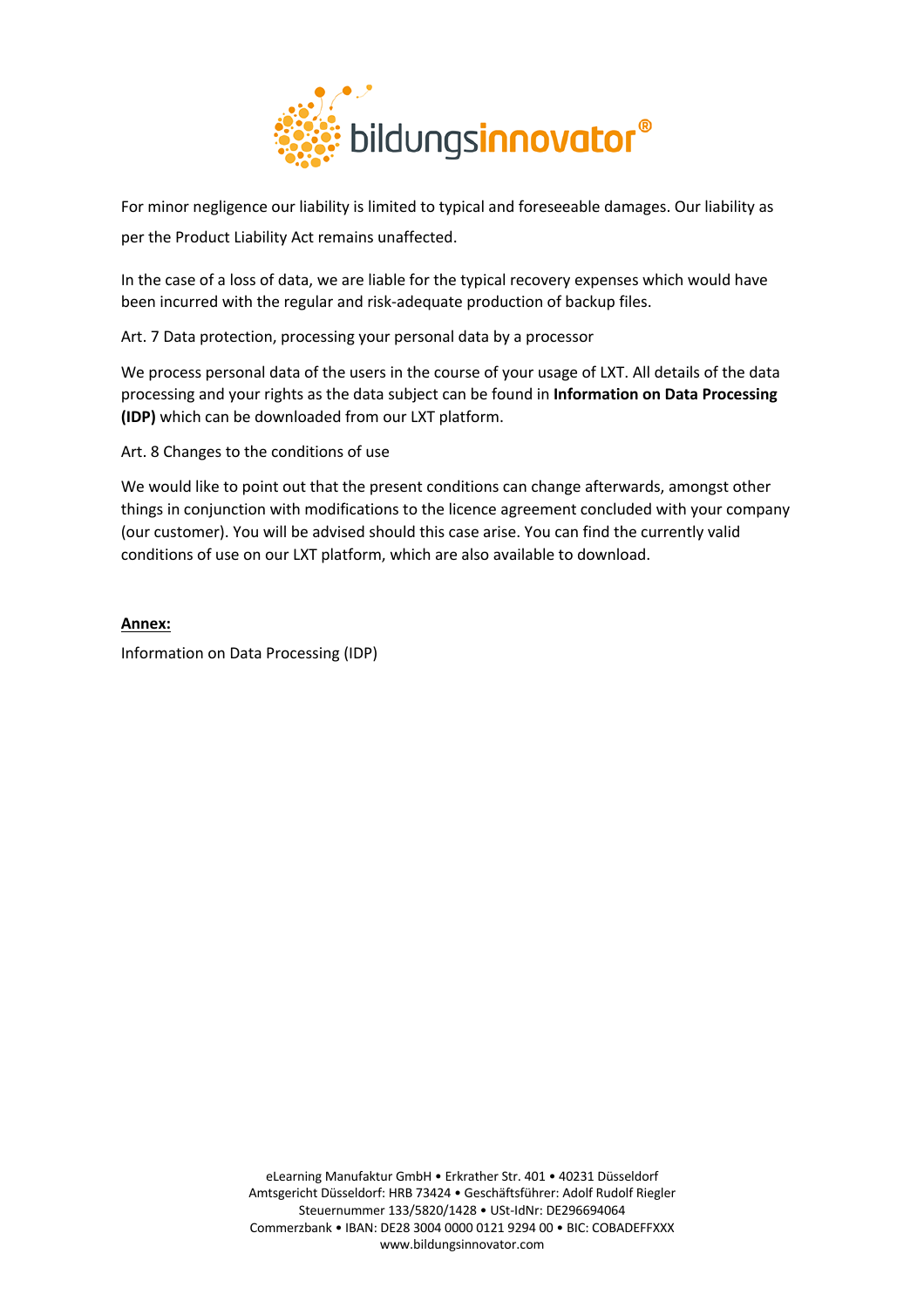

For minor negligence our liability is limited to typical and foreseeable damages. Our liability as per the Product Liability Act remains unaffected.

In the case of a loss of data, we are liable for the typical recovery expenses which would have been incurred with the regular and risk-adequate production of backup files.

Art. 7 Data protection, processing your personal data by a processor

We process personal data of the users in the course of your usage of LXT. All details of the data processing and your rights as the data subject can be found in **Information on Data Processing (IDP)** which can be downloaded from our LXT platform.

Art. 8 Changes to the conditions of use

We would like to point out that the present conditions can change afterwards, amongst other things in conjunction with modifications to the licence agreement concluded with your company (our customer). You will be advised should this case arise. You can find the currently valid conditions of use on our LXT platform, which are also available to download.

**Annex:** Information on Data Processing (IDP)

> eLearning Manufaktur GmbH • Erkrather Str. 401 • 40231 Düsseldorf Amtsgericht Düsseldorf: HRB 73424 • Geschäftsführer: Adolf Rudolf Riegler Steuernummer 133/5820/1428 • USt-IdNr: DE296694064 Commerzbank • IBAN: DE28 3004 0000 0121 9294 00 • BIC: COBADEFFXXX www.bildungsinnovator.com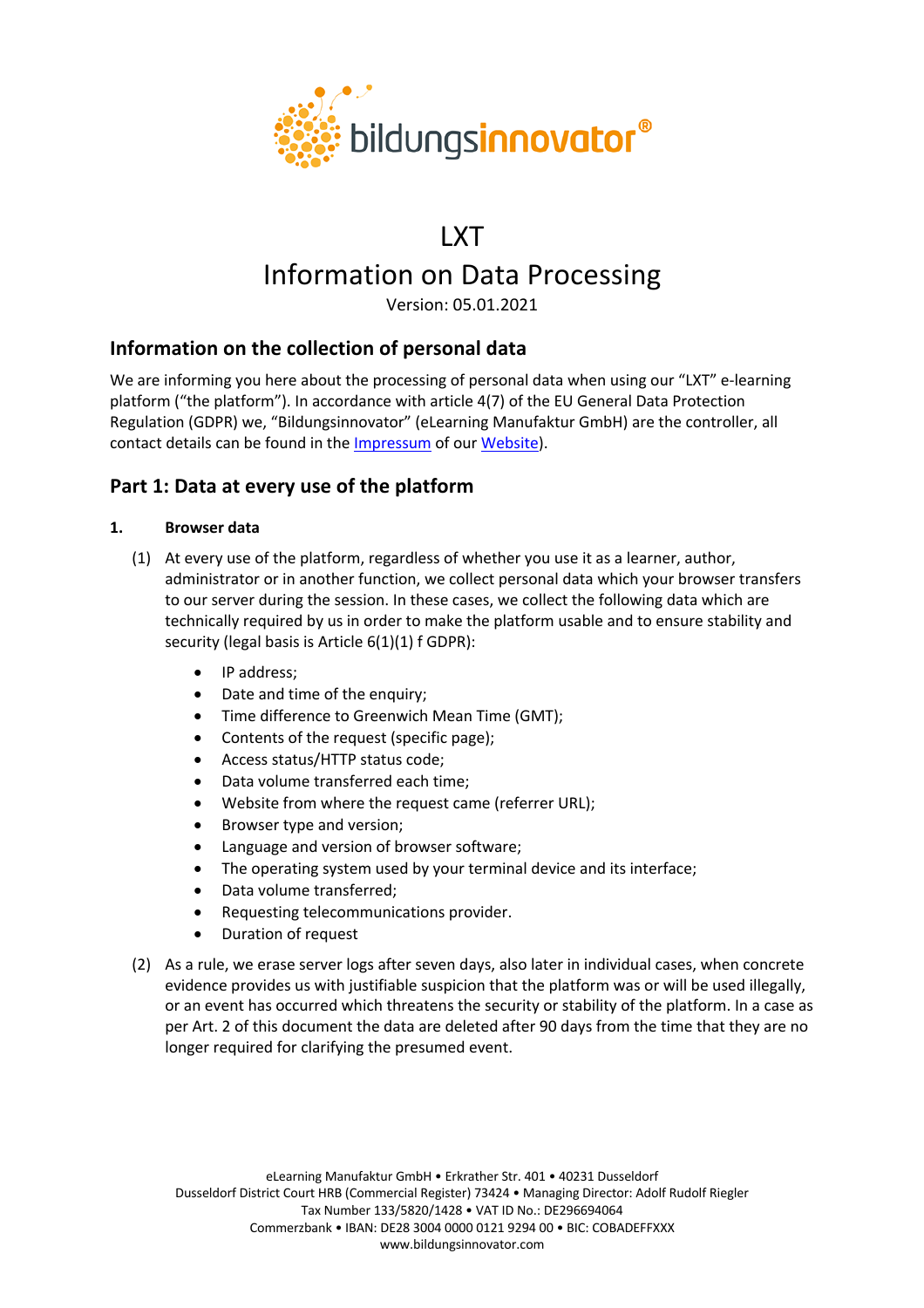

# LXT Information on Data Processing

Version: 05.01.2021

# **Information on the collection of personal data**

We are informing you here about the processing of personal data when using our "LXT" e-learning platform ("the platform"). In accordance with article 4(7) of the EU General Data Protection Regulation (GDPR) we, "Bildungsinnovator" (eLearning Manufaktur GmbH) are the controller, all contact details can be found in the Impressum of our Website).

# **Part 1: Data at every use of the platform**

# **1. Browser data**

- (1) At every use of the platform, regardless of whether you use it as a learner, author, administrator or in another function, we collect personal data which your browser transfers to our server during the session. In these cases, we collect the following data which are technically required by us in order to make the platform usable and to ensure stability and security (legal basis is Article 6(1)(1) f GDPR):
	- IP address;
	- Date and time of the enquiry;
	- Time difference to Greenwich Mean Time (GMT);
	- Contents of the request (specific page);
	- Access status/HTTP status code;
	- Data volume transferred each time;
	- Website from where the request came (referrer URL);
	- Browser type and version;
	- Language and version of browser software;
	- The operating system used by your terminal device and its interface;
	- Data volume transferred;
	- Requesting telecommunications provider.
	- Duration of request
- (2) As a rule, we erase server logs after seven days, also later in individual cases, when concrete evidence provides us with justifiable suspicion that the platform was or will be used illegally, or an event has occurred which threatens the security or stability of the platform. In a case as per Art. 2 of this document the data are deleted after 90 days from the time that they are no longer required for clarifying the presumed event.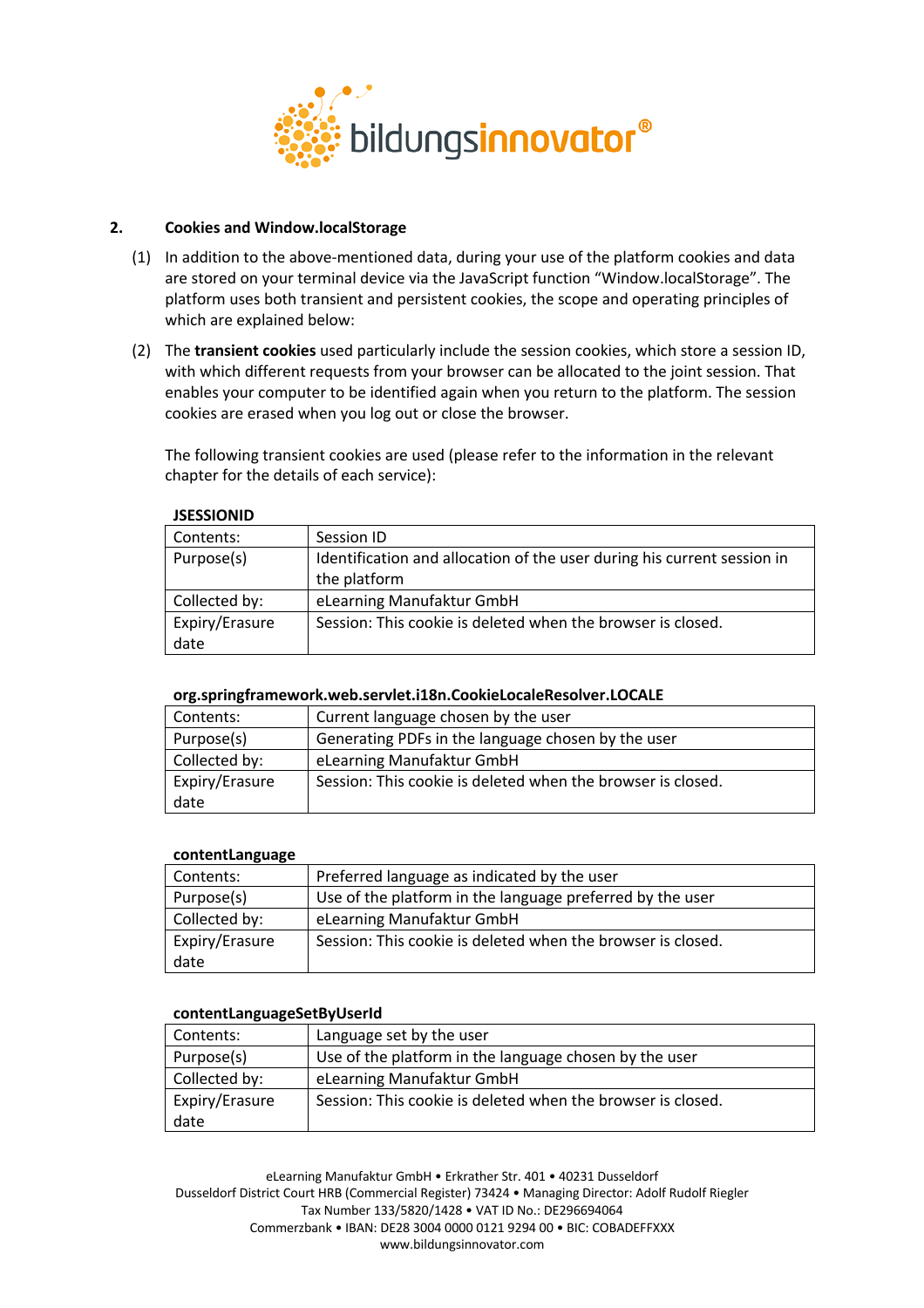

# **2. Cookies and Window.localStorage**

- (1) In addition to the above-mentioned data, during your use of the platform cookies and data are stored on your terminal device via the JavaScript function "Window.localStorage". The platform uses both transient and persistent cookies, the scope and operating principles of which are explained below:
- (2) The **transient cookies** used particularly include the session cookies, which store a session ID, with which different requests from your browser can be allocated to the joint session. That enables your computer to be identified again when you return to the platform. The session cookies are erased when you log out or close the browser.

The following transient cookies are used (please refer to the information in the relevant chapter for the details of each service):

| Contents:      | Session ID                                                              |
|----------------|-------------------------------------------------------------------------|
| Purpose(s)     | Identification and allocation of the user during his current session in |
|                | the platform                                                            |
| Collected by:  | eLearning Manufaktur GmbH                                               |
| Expiry/Erasure | Session: This cookie is deleted when the browser is closed.             |
| date           |                                                                         |

#### **JSESSIONID**

#### **org.springframework.web.servlet.i18n.CookieLocaleResolver.LOCALE**

| Contents:      | Current language chosen by the user                         |  |
|----------------|-------------------------------------------------------------|--|
| Purpose(s)     | Generating PDFs in the language chosen by the user          |  |
| Collected by:  | eLearning Manufaktur GmbH                                   |  |
| Expiry/Erasure | Session: This cookie is deleted when the browser is closed. |  |
| date           |                                                             |  |

#### **contentLanguage**

| Contents:                                  | Preferred language as indicated by the user                 |  |
|--------------------------------------------|-------------------------------------------------------------|--|
| Purpose(s)                                 | Use of the platform in the language preferred by the user   |  |
| Collected by:<br>eLearning Manufaktur GmbH |                                                             |  |
| Expiry/Erasure                             | Session: This cookie is deleted when the browser is closed. |  |
| date                                       |                                                             |  |

#### **contentLanguageSetByUserId**

| Contents:      | Language set by the user                                    |  |
|----------------|-------------------------------------------------------------|--|
| Purpose(s)     | Use of the platform in the language chosen by the user      |  |
| Collected by:  | eLearning Manufaktur GmbH                                   |  |
| Expiry/Erasure | Session: This cookie is deleted when the browser is closed. |  |
| date           |                                                             |  |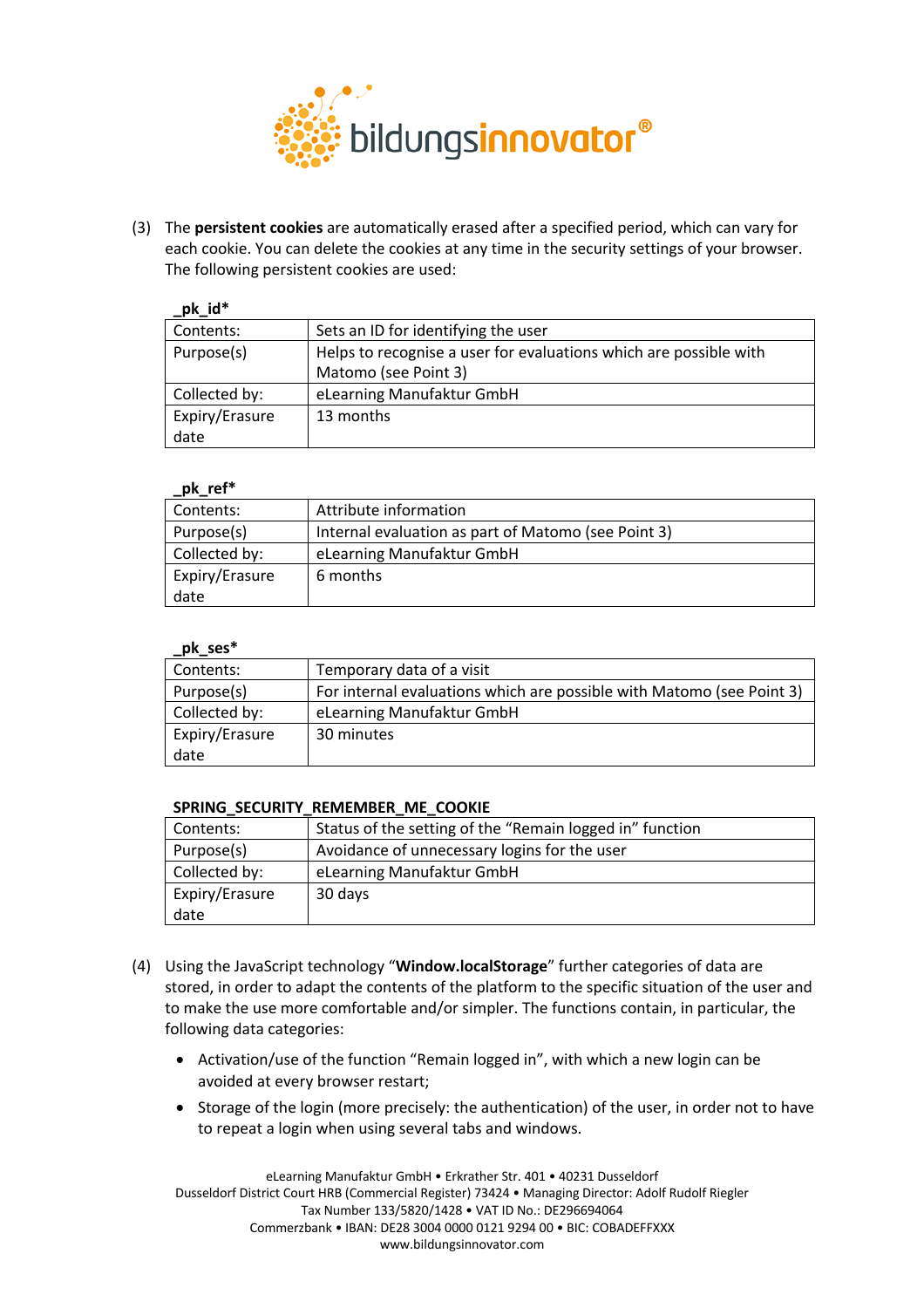

(3) The **persistent cookies** are automatically erased after a specified period, which can vary for each cookie. You can delete the cookies at any time in the security settings of your browser. The following persistent cookies are used:

| pk_id*                                                                          |                                     |
|---------------------------------------------------------------------------------|-------------------------------------|
| Contents:                                                                       | Sets an ID for identifying the user |
| Purpose(s)<br>Helps to recognise a user for evaluations which are possible with |                                     |
|                                                                                 | Matomo (see Point 3)                |
| Collected by:                                                                   | eLearning Manufaktur GmbH           |
| Expiry/Erasure                                                                  | 13 months                           |
| date                                                                            |                                     |

# **\_pk\_ref\***

| PR ICI         |                                                     |  |
|----------------|-----------------------------------------------------|--|
| Contents:      | Attribute information                               |  |
| Purpose(s)     | Internal evaluation as part of Matomo (see Point 3) |  |
| Collected by:  | eLearning Manufaktur GmbH                           |  |
| Expiry/Erasure | 6 months                                            |  |
| date           |                                                     |  |

#### **\_pk\_ses\***

| Contents:                                                                           | Temporary data of a visit |  |
|-------------------------------------------------------------------------------------|---------------------------|--|
| For internal evaluations which are possible with Matomo (see Point 3)<br>Purpose(s) |                           |  |
| Collected by:                                                                       | eLearning Manufaktur GmbH |  |
| Expiry/Erasure                                                                      | 30 minutes                |  |
| date                                                                                |                           |  |

# **SPRING\_SECURITY\_REMEMBER\_ME\_COOKIE**

| Contents:      | Status of the setting of the "Remain logged in" function |  |
|----------------|----------------------------------------------------------|--|
| Purpose(s)     | Avoidance of unnecessary logins for the user             |  |
| Collected by:  | eLearning Manufaktur GmbH                                |  |
| Expiry/Erasure | 30 days                                                  |  |
| date           |                                                          |  |

- (4) Using the JavaScript technology "**Window.localStorage**" further categories of data are stored, in order to adapt the contents of the platform to the specific situation of the user and to make the use more comfortable and/or simpler. The functions contain, in particular, the following data categories:
	- Activation/use of the function "Remain logged in", with which a new login can be avoided at every browser restart;
	- Storage of the login (more precisely: the authentication) of the user, in order not to have to repeat a login when using several tabs and windows.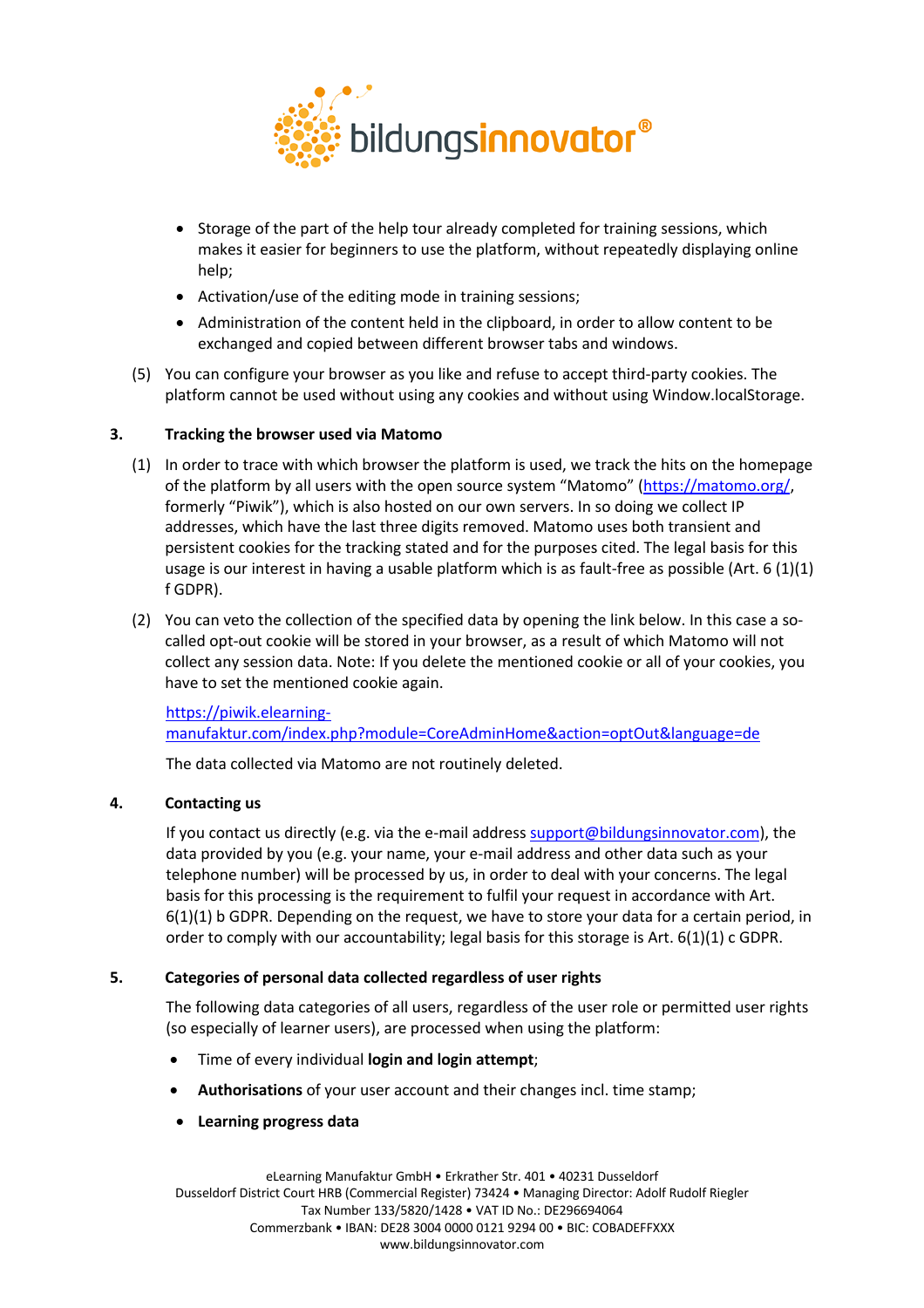

- Storage of the part of the help tour already completed for training sessions, which makes it easier for beginners to use the platform, without repeatedly displaying online help:
- Activation/use of the editing mode in training sessions;
- Administration of the content held in the clipboard, in order to allow content to be exchanged and copied between different browser tabs and windows.
- (5) You can configure your browser as you like and refuse to accept third-party cookies. The platform cannot be used without using any cookies and without using Window.localStorage.

# **3. Tracking the browser used via Matomo**

- (1) In order to trace with which browser the platform is used, we track the hits on the homepage of the platform by all users with the open source system "Matomo" (https://matomo.org/, formerly "Piwik"), which is also hosted on our own servers. In so doing we collect IP addresses, which have the last three digits removed. Matomo uses both transient and persistent cookies for the tracking stated and for the purposes cited. The legal basis for this usage is our interest in having a usable platform which is as fault-free as possible (Art. 6 (1)(1) f GDPR).
- (2) You can veto the collection of the specified data by opening the link below. In this case a socalled opt-out cookie will be stored in your browser, as a result of which Matomo will not collect any session data. Note: If you delete the mentioned cookie or all of your cookies, you have to set the mentioned cookie again.

# https://piwik.elearningmanufaktur.com/index.php?module=CoreAdminHome&action=optOut&language=de

The data collected via Matomo are not routinely deleted.

# **4. Contacting us**

If you contact us directly (e.g. via the e-mail address support@bildungsinnovator.com), the data provided by you (e.g. your name, your e-mail address and other data such as your telephone number) will be processed by us, in order to deal with your concerns. The legal basis for this processing is the requirement to fulfil your request in accordance with Art. 6(1)(1) b GDPR. Depending on the request, we have to store your data for a certain period, in order to comply with our accountability; legal basis for this storage is Art.  $6(1)(1)$  c GDPR.

# **5. Categories of personal data collected regardless of user rights**

The following data categories of all users, regardless of the user role or permitted user rights (so especially of learner users), are processed when using the platform:

- Time of every individual **login and login attempt**;
- **Authorisations** of your user account and their changes incl. time stamp;
- **Learning progress data**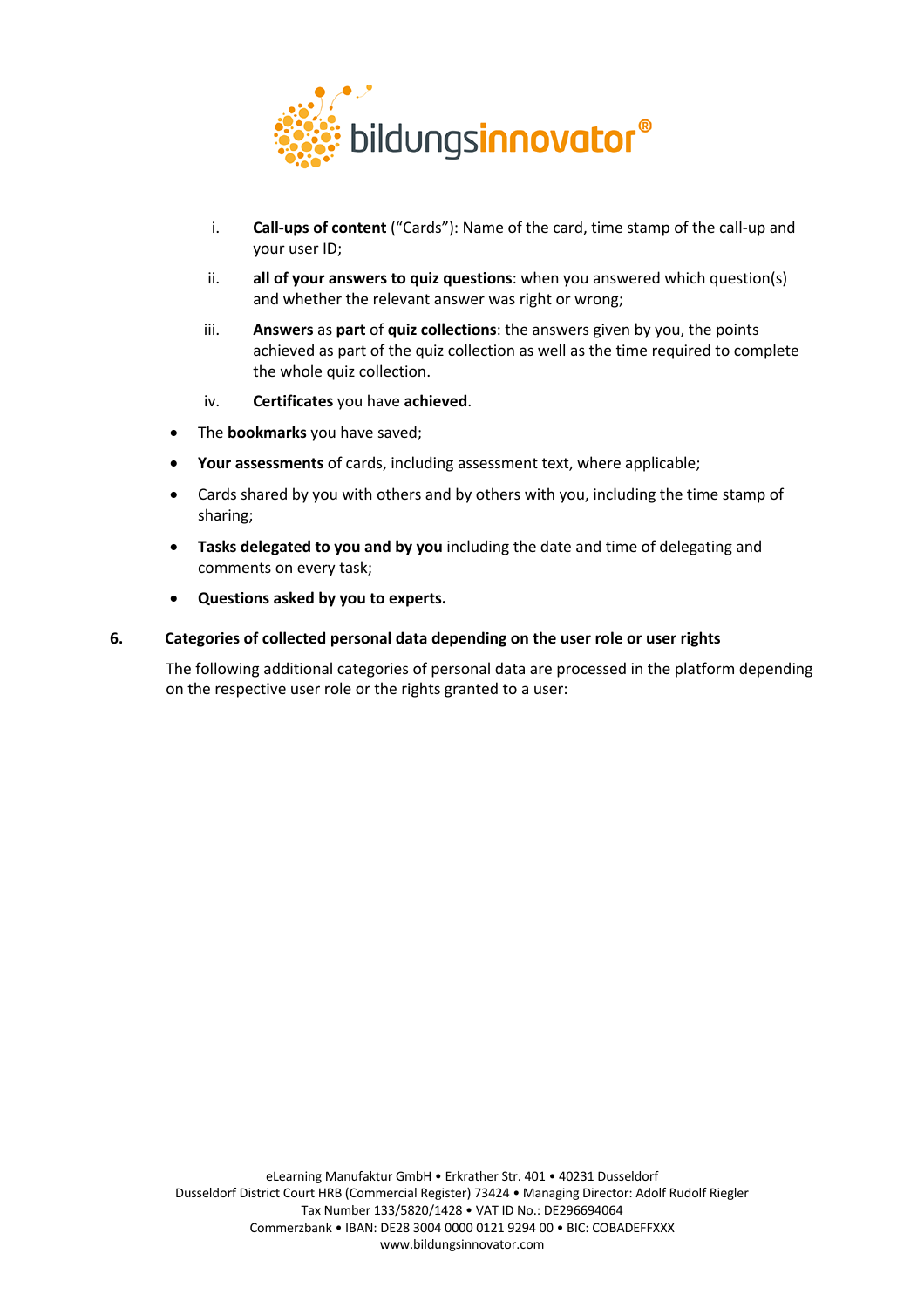

- i. **Call-ups of content** ("Cards"): Name of the card, time stamp of the call-up and your user ID;
- ii. **all of your answers to quiz questions**: when you answered which question(s) and whether the relevant answer was right or wrong;
- iii. **Answers** as **part** of **quiz collections**: the answers given by you, the points achieved as part of the quiz collection as well as the time required to complete the whole quiz collection.
- iv. **Certificates** you have **achieved**.
- The **bookmarks** you have saved;
- **Your assessments** of cards, including assessment text, where applicable;
- Cards shared by you with others and by others with you, including the time stamp of sharing;
- **Tasks delegated to you and by you** including the date and time of delegating and comments on every task;
- **Questions asked by you to experts.**

#### **6. Categories of collected personal data depending on the user role or user rights**

The following additional categories of personal data are processed in the platform depending on the respective user role or the rights granted to a user: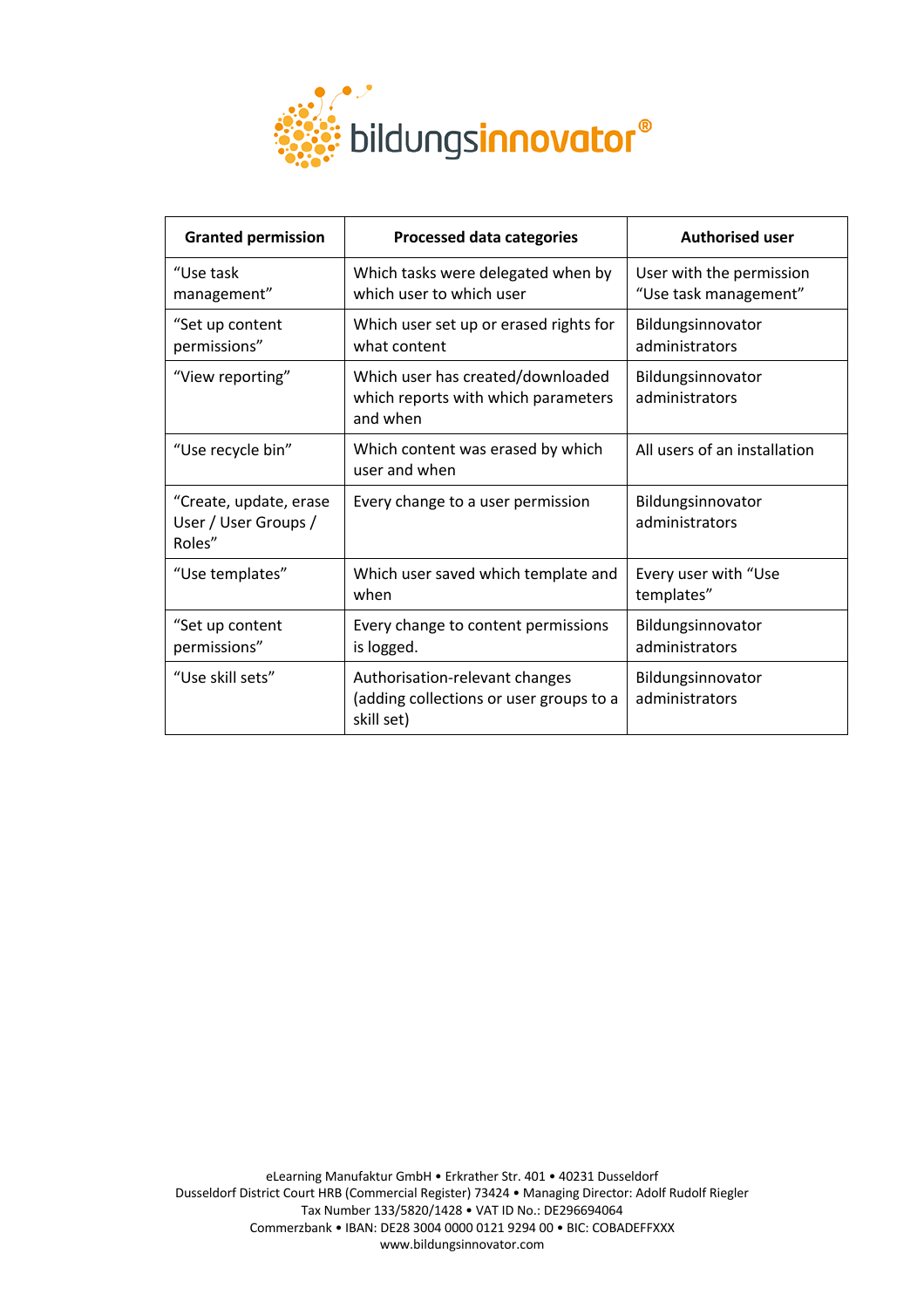

| <b>Granted permission</b>                                | <b>Processed data categories</b>                                                        | <b>Authorised user</b>                            |
|----------------------------------------------------------|-----------------------------------------------------------------------------------------|---------------------------------------------------|
| "Use task<br>management"                                 | Which tasks were delegated when by<br>which user to which user                          | User with the permission<br>"Use task management" |
| "Set up content<br>permissions"                          | Which user set up or erased rights for<br>what content                                  | Bildungsinnovator<br>administrators               |
| "View reporting"                                         | Which user has created/downloaded<br>which reports with which parameters<br>and when    | Bildungsinnovator<br>administrators               |
| "Use recycle bin"                                        | Which content was erased by which<br>user and when                                      | All users of an installation                      |
| "Create, update, erase<br>User / User Groups /<br>Roles" | Every change to a user permission                                                       | Bildungsinnovator<br>administrators               |
| "Use templates"                                          | Which user saved which template and<br>when                                             | Every user with "Use<br>templates"                |
| "Set up content<br>permissions"                          | Every change to content permissions<br>is logged.                                       | Bildungsinnovator<br>administrators               |
| "Use skill sets"                                         | Authorisation-relevant changes<br>(adding collections or user groups to a<br>skill set) | Bildungsinnovator<br>administrators               |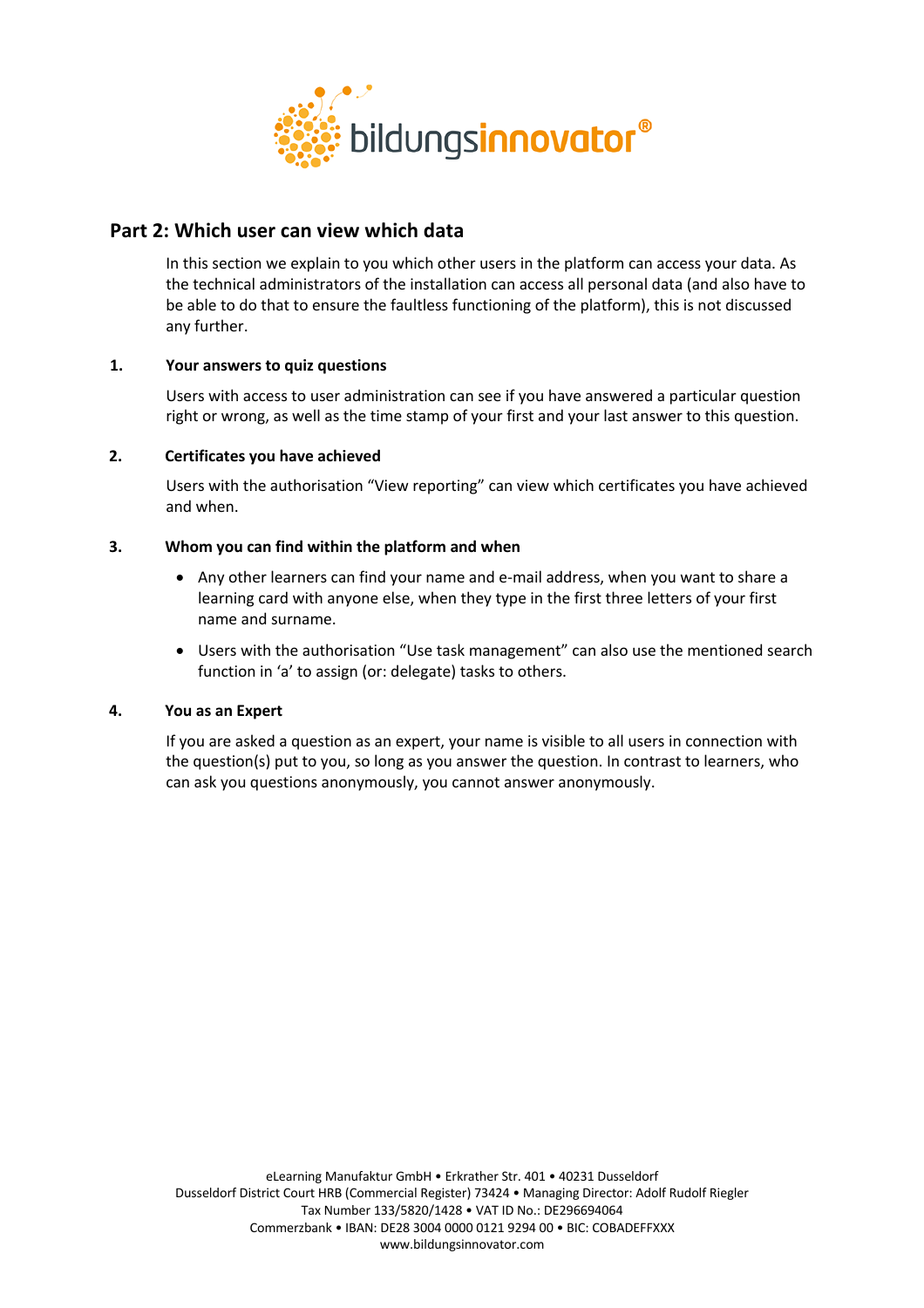

# **Part 2: Which user can view which data**

In this section we explain to you which other users in the platform can access your data. As the technical administrators of the installation can access all personal data (and also have to be able to do that to ensure the faultless functioning of the platform), this is not discussed any further.

# **1. Your answers to quiz questions**

Users with access to user administration can see if you have answered a particular question right or wrong, as well as the time stamp of your first and your last answer to this question.

# **2. Certificates you have achieved**

Users with the authorisation "View reporting" can view which certificates you have achieved and when.

# **3. Whom you can find within the platform and when**

- Any other learners can find your name and e-mail address, when you want to share a learning card with anyone else, when they type in the first three letters of your first name and surname.
- Users with the authorisation "Use task management" can also use the mentioned search function in 'a' to assign (or: delegate) tasks to others.

# **4. You as an Expert**

If you are asked a question as an expert, your name is visible to all users in connection with the question(s) put to you, so long as you answer the question. In contrast to learners, who can ask you questions anonymously, you cannot answer anonymously.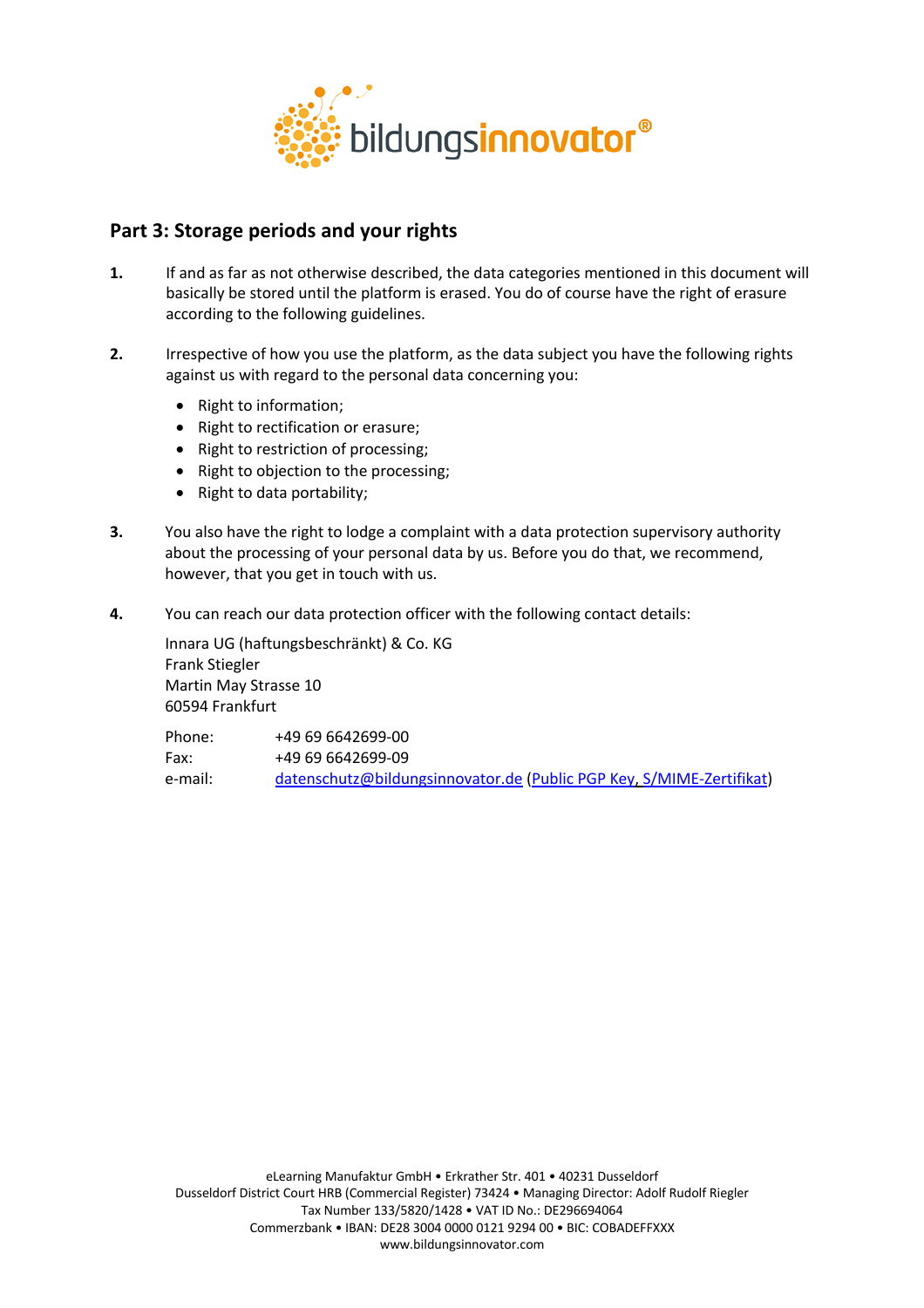

# **Part 3: Storage periods and your rights**

- **1.** If and as far as not otherwise described, the data categories mentioned in this document will basically be stored until the platform is erased. You do of course have the right of erasure according to the following guidelines.
- **2.** Irrespective of how you use the platform, as the data subject you have the following rights against us with regard to the personal data concerning you:
	- Right to information;
	- Right to rectification or erasure;
	- Right to restriction of processing;
	- Right to objection to the processing;
	- Right to data portability;
- **3.** You also have the right to lodge a complaint with a data protection supervisory authority about the processing of your personal data by us. Before you do that, we recommend, however, that you get in touch with us.
- **4.** You can reach our data protection officer with the following contact details:

Innara UG (haftungsbeschränkt) & Co. KG Frank Stiegler Martin May Strasse 10 60594 Frankfurt

| Phone:  | +49 69 6642699-00                                                    |
|---------|----------------------------------------------------------------------|
| Fax:    | +49 69 6642699-09                                                    |
| e-mail: | datenschutz@bildungsinnovator.de (Public PGP Key, S/MIME-Zertifikat) |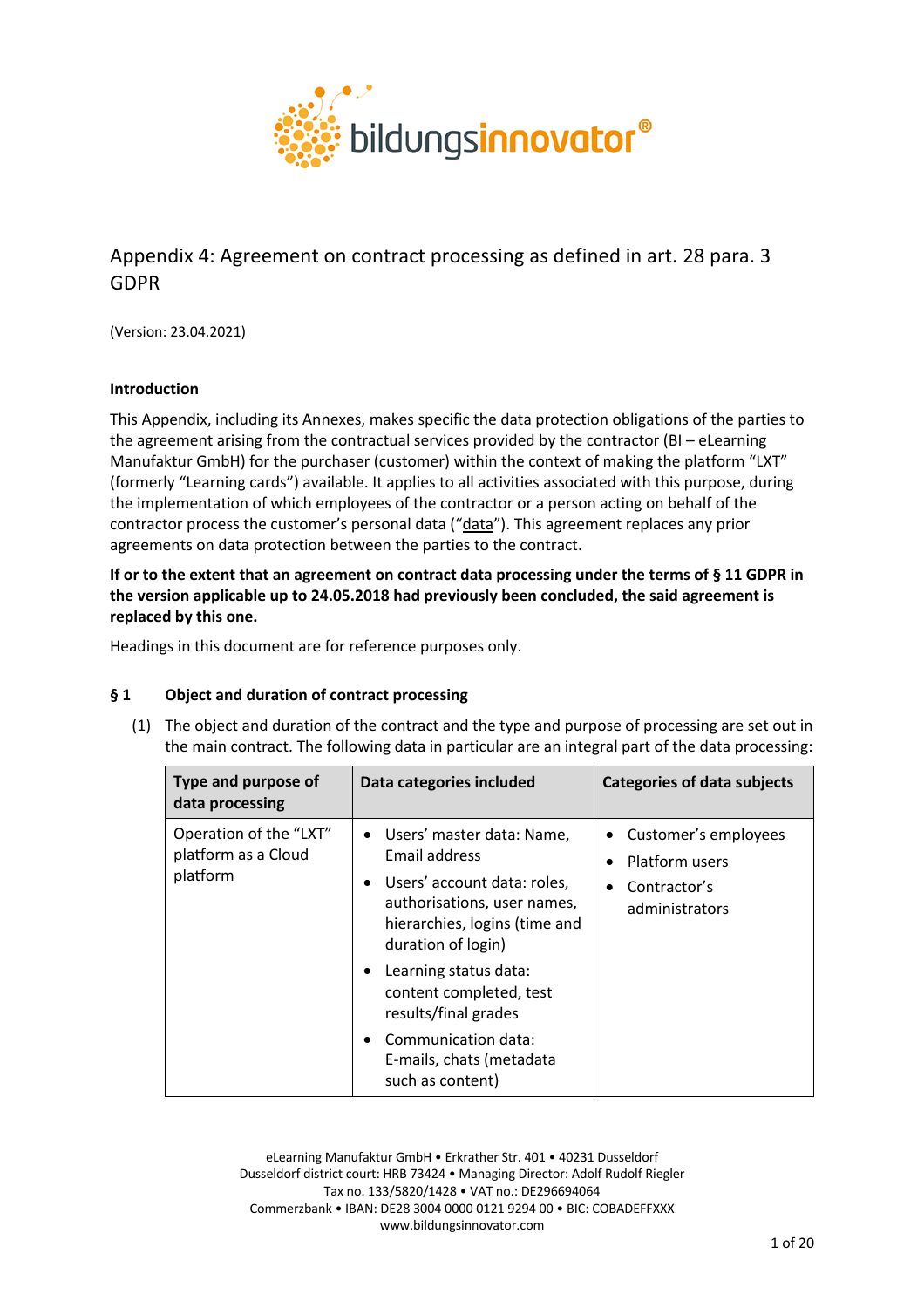

# Appendix 4: Agreement on contract processing as defined in art. 28 para. 3 GDPR

(Version: 23.04.2021)

# **Introduction**

This Appendix, including its Annexes, makes specific the data protection obligations of the parties to the agreement arising from the contractual services provided by the contractor (BI – eLearning Manufaktur GmbH) for the purchaser (customer) within the context of making the platform "LXT" (formerly "Learning cards") available. It applies to all activities associated with this purpose, during the implementation of which employees of the contractor or a person acting on behalf of the contractor process the customer's personal data ("data"). This agreement replaces any prior agreements on data protection between the parties to the contract.

**If or to the extent that an agreement on contract data processing under the terms of § 11 GDPR in the version applicable up to 24.05.2018 had previously been concluded, the said agreement is replaced by this one.**

Headings in this document are for reference purposes only.

# **§ 1 Object and duration of contract processing**

(1) The object and duration of the contract and the type and purpose of processing are set out in the main contract. The following data in particular are an integral part of the data processing:

| Type and purpose of<br>data processing                    | Data categories included                                                                                                                                                       | <b>Categories of data subjects</b>                                         |
|-----------------------------------------------------------|--------------------------------------------------------------------------------------------------------------------------------------------------------------------------------|----------------------------------------------------------------------------|
| Operation of the "LXT"<br>platform as a Cloud<br>platform | • Users' master data: Name,<br>Email address<br>Users' account data: roles,<br>$\bullet$<br>authorisations, user names,<br>hierarchies, logins (time and<br>duration of login) | • Customer's employees<br>Platform users<br>Contractor's<br>administrators |
|                                                           | Learning status data:<br>$\bullet$<br>content completed, test<br>results/final grades                                                                                          |                                                                            |
|                                                           | Communication data:<br>E-mails, chats (metadata<br>such as content)                                                                                                            |                                                                            |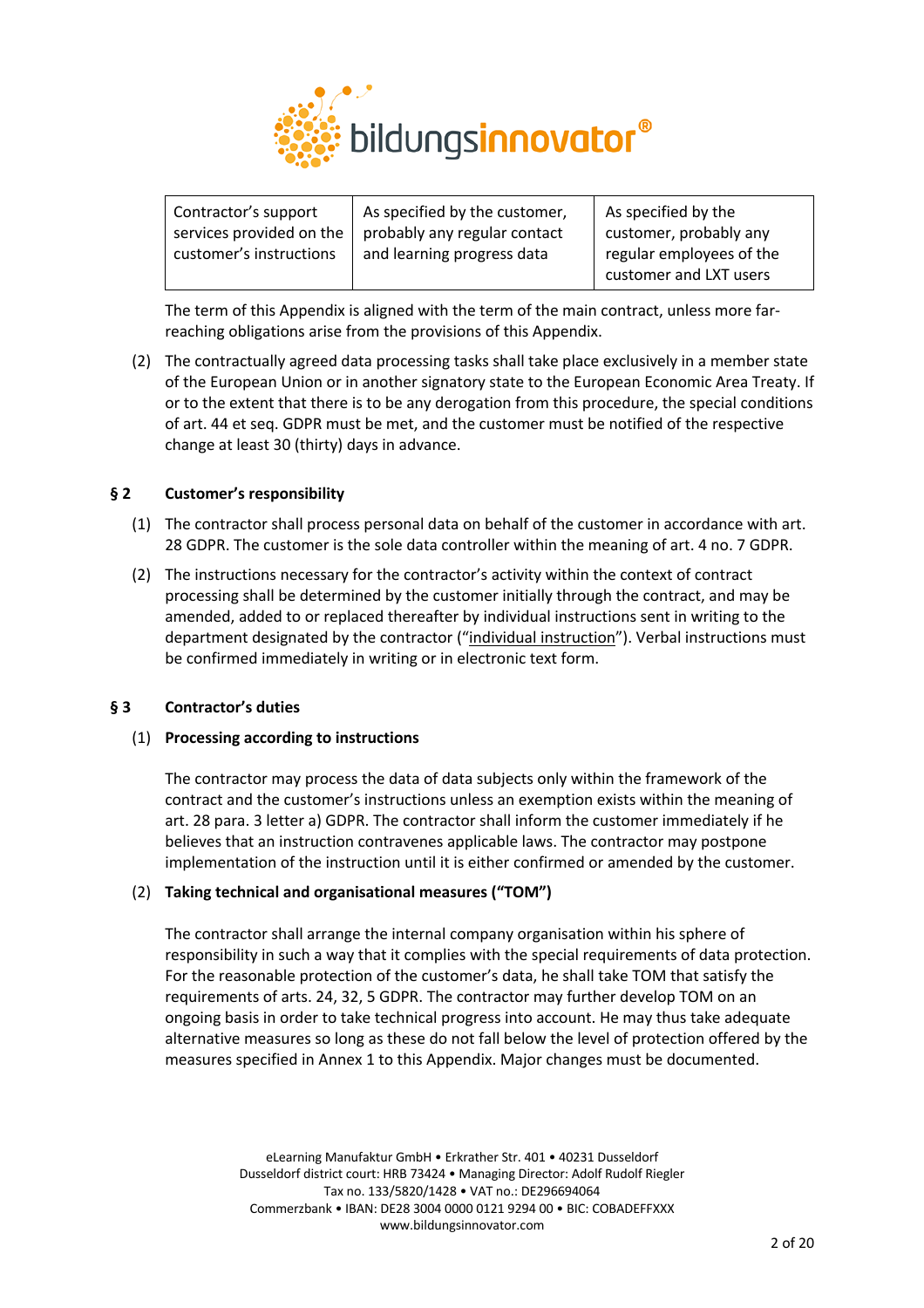

| Contractor's support     | As specified by the customer, | As specified by the      |
|--------------------------|-------------------------------|--------------------------|
| services provided on the | probably any regular contact  | customer, probably any   |
| customer's instructions  | and learning progress data    | regular employees of the |
|                          |                               | customer and LXT users   |

The term of this Appendix is aligned with the term of the main contract, unless more farreaching obligations arise from the provisions of this Appendix.

(2) The contractually agreed data processing tasks shall take place exclusively in a member state of the European Union or in another signatory state to the European Economic Area Treaty. If or to the extent that there is to be any derogation from this procedure, the special conditions of art. 44 et seq. GDPR must be met, and the customer must be notified of the respective change at least 30 (thirty) days in advance.

# **§ 2 Customer's responsibility**

- (1) The contractor shall process personal data on behalf of the customer in accordance with art. 28 GDPR. The customer is the sole data controller within the meaning of art. 4 no. 7 GDPR.
- (2) The instructions necessary for the contractor's activity within the context of contract processing shall be determined by the customer initially through the contract, and may be amended, added to or replaced thereafter by individual instructions sent in writing to the department designated by the contractor ("individual instruction"). Verbal instructions must be confirmed immediately in writing or in electronic text form.

# **§ 3 Contractor's duties**

# (1) **Processing according to instructions**

The contractor may process the data of data subjects only within the framework of the contract and the customer's instructions unless an exemption exists within the meaning of art. 28 para. 3 letter a) GDPR. The contractor shall inform the customer immediately if he believes that an instruction contravenes applicable laws. The contractor may postpone implementation of the instruction until it is either confirmed or amended by the customer.

# (2) **Taking technical and organisational measures ("TOM")**

The contractor shall arrange the internal company organisation within his sphere of responsibility in such a way that it complies with the special requirements of data protection. For the reasonable protection of the customer's data, he shall take TOM that satisfy the requirements of arts. 24, 32, 5 GDPR. The contractor may further develop TOM on an ongoing basis in order to take technical progress into account. He may thus take adequate alternative measures so long as these do not fall below the level of protection offered by the measures specified in Annex 1 to this Appendix. Major changes must be documented.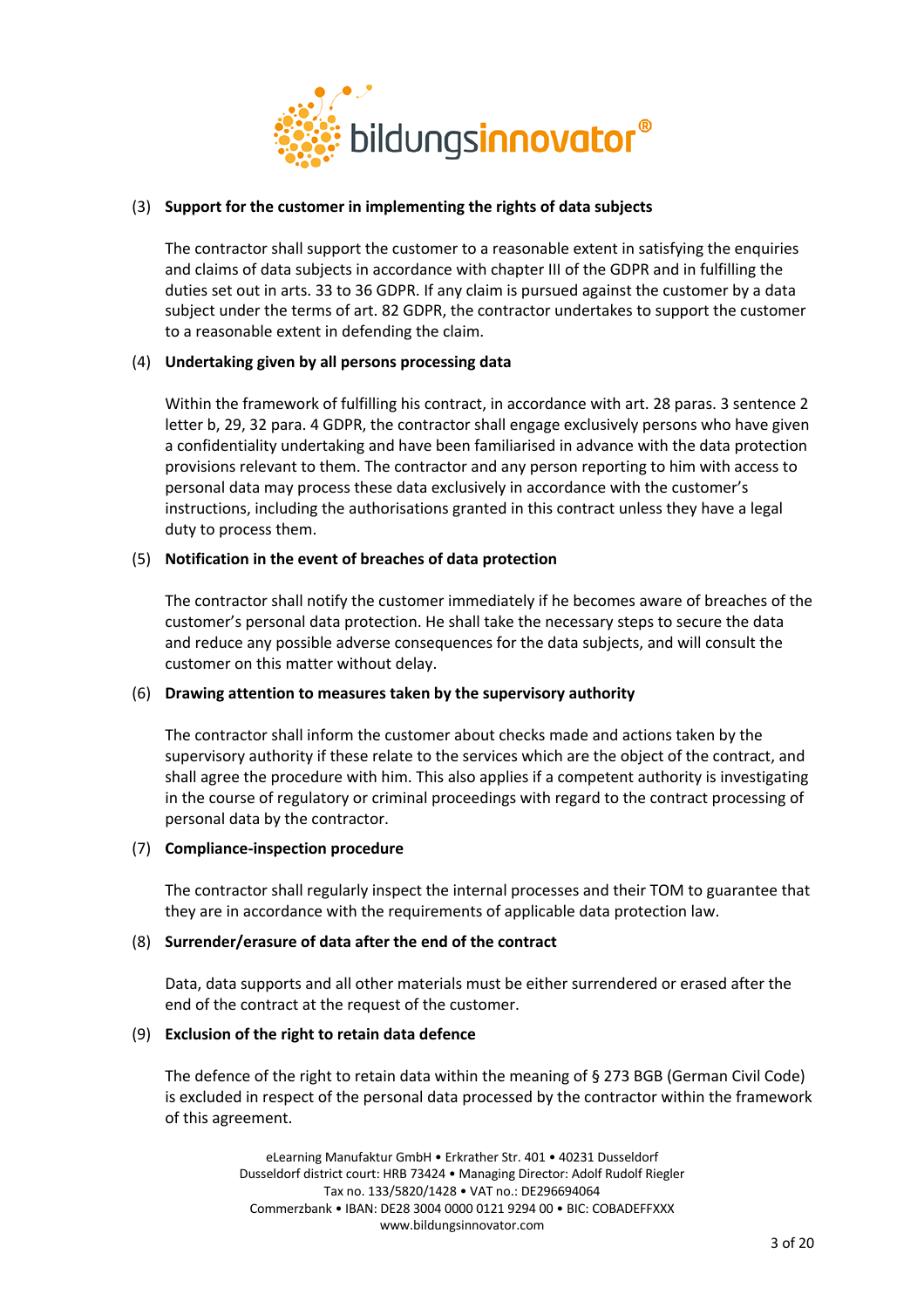

# (3) **Support for the customer in implementing the rights of data subjects**

The contractor shall support the customer to a reasonable extent in satisfying the enquiries and claims of data subjects in accordance with chapter III of the GDPR and in fulfilling the duties set out in arts. 33 to 36 GDPR. If any claim is pursued against the customer by a data subject under the terms of art. 82 GDPR, the contractor undertakes to support the customer to a reasonable extent in defending the claim.

# (4) **Undertaking given by all persons processing data**

Within the framework of fulfilling his contract, in accordance with art. 28 paras. 3 sentence 2 letter b, 29, 32 para. 4 GDPR, the contractor shall engage exclusively persons who have given a confidentiality undertaking and have been familiarised in advance with the data protection provisions relevant to them. The contractor and any person reporting to him with access to personal data may process these data exclusively in accordance with the customer's instructions, including the authorisations granted in this contract unless they have a legal duty to process them.

# (5) **Notification in the event of breaches of data protection**

The contractor shall notify the customer immediately if he becomes aware of breaches of the customer's personal data protection. He shall take the necessary steps to secure the data and reduce any possible adverse consequences for the data subjects, and will consult the customer on this matter without delay.

# (6) **Drawing attention to measures taken by the supervisory authority**

The contractor shall inform the customer about checks made and actions taken by the supervisory authority if these relate to the services which are the object of the contract, and shall agree the procedure with him. This also applies if a competent authority is investigating in the course of regulatory or criminal proceedings with regard to the contract processing of personal data by the contractor.

# (7) **Compliance-inspection procedure**

The contractor shall regularly inspect the internal processes and their TOM to guarantee that they are in accordance with the requirements of applicable data protection law.

# (8) **Surrender/erasure of data after the end of the contract**

Data, data supports and all other materials must be either surrendered or erased after the end of the contract at the request of the customer.

# (9) **Exclusion of the right to retain data defence**

The defence of the right to retain data within the meaning of § 273 BGB (German Civil Code) is excluded in respect of the personal data processed by the contractor within the framework of this agreement.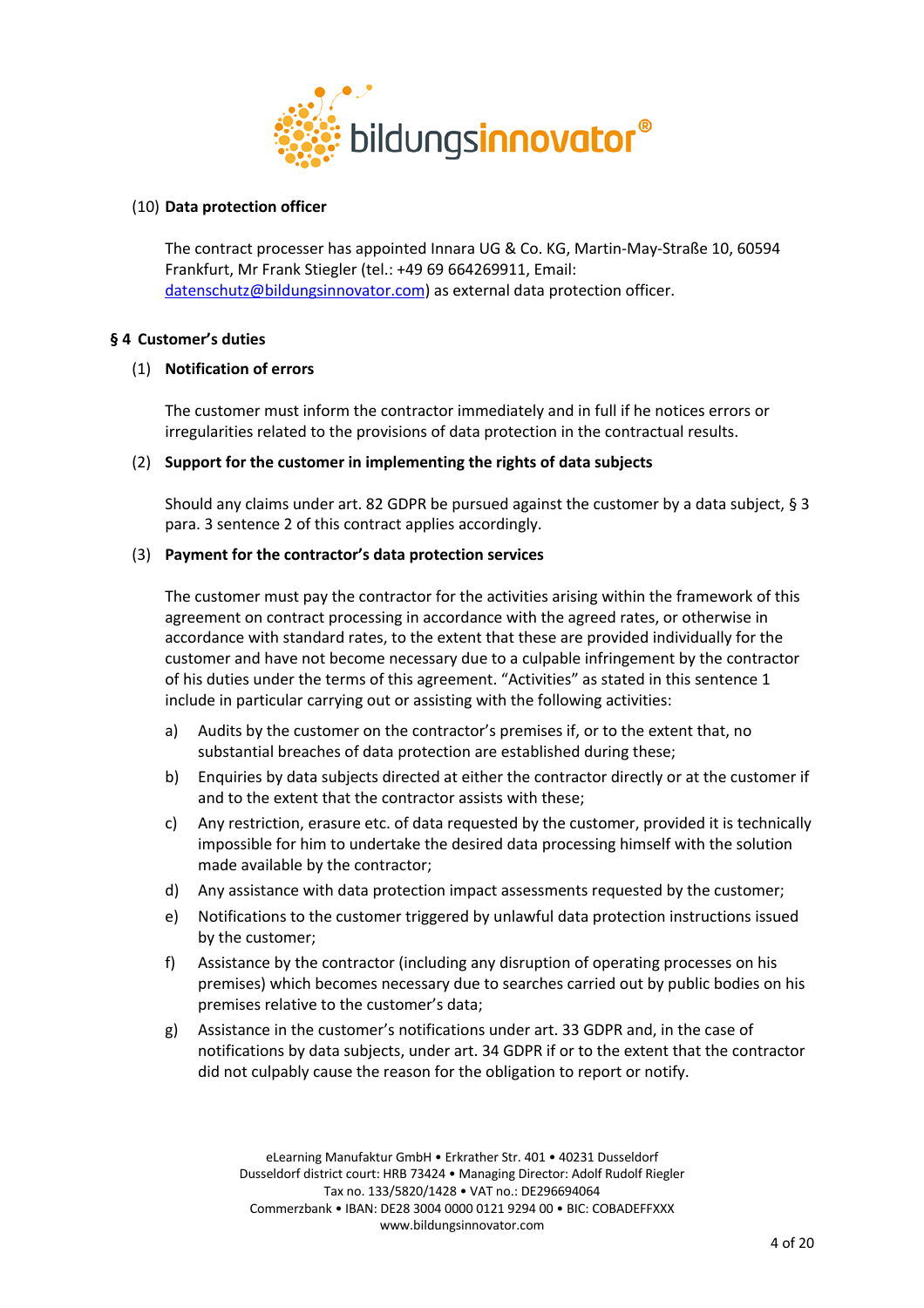

# (10) **Data protection officer**

The contract processer has appointed Innara UG & Co. KG, Martin-May-Straße 10, 60594 Frankfurt, Mr Frank Stiegler (tel.: +49 69 664269911, Email: datenschutz@bildungsinnovator.com) as external data protection officer.

# **§ 4 Customer's duties**

#### (1) **Notification of errors**

The customer must inform the contractor immediately and in full if he notices errors or irregularities related to the provisions of data protection in the contractual results.

#### (2) **Support for the customer in implementing the rights of data subjects**

Should any claims under art. 82 GDPR be pursued against the customer by a data subject, § 3 para. 3 sentence 2 of this contract applies accordingly.

#### (3) **Payment for the contractor's data protection services**

The customer must pay the contractor for the activities arising within the framework of this agreement on contract processing in accordance with the agreed rates, or otherwise in accordance with standard rates, to the extent that these are provided individually for the customer and have not become necessary due to a culpable infringement by the contractor of his duties under the terms of this agreement. "Activities" as stated in this sentence 1 include in particular carrying out or assisting with the following activities:

- a) Audits by the customer on the contractor's premises if, or to the extent that, no substantial breaches of data protection are established during these;
- b) Enquiries by data subjects directed at either the contractor directly or at the customer if and to the extent that the contractor assists with these;
- c) Any restriction, erasure etc. of data requested by the customer, provided it is technically impossible for him to undertake the desired data processing himself with the solution made available by the contractor;
- d) Any assistance with data protection impact assessments requested by the customer;
- e) Notifications to the customer triggered by unlawful data protection instructions issued by the customer;
- f) Assistance by the contractor (including any disruption of operating processes on his premises) which becomes necessary due to searches carried out by public bodies on his premises relative to the customer's data;
- g) Assistance in the customer's notifications under art. 33 GDPR and, in the case of notifications by data subjects, under art. 34 GDPR if or to the extent that the contractor did not culpably cause the reason for the obligation to report or notify.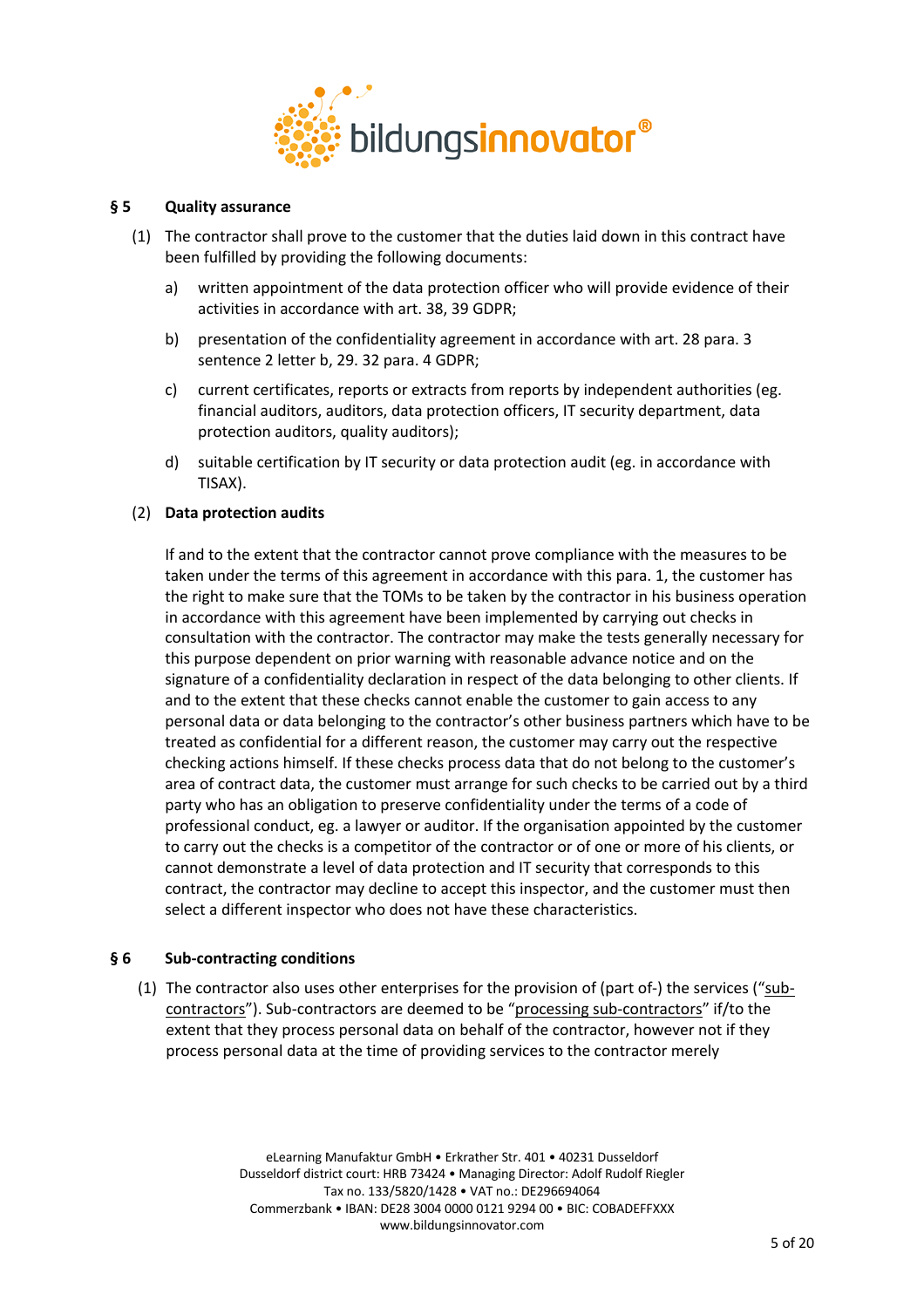

# **§ 5 Quality assurance**

- (1) The contractor shall prove to the customer that the duties laid down in this contract have been fulfilled by providing the following documents:
	- a) written appointment of the data protection officer who will provide evidence of their activities in accordance with art. 38, 39 GDPR;
	- b) presentation of the confidentiality agreement in accordance with art. 28 para. 3 sentence 2 letter b, 29. 32 para. 4 GDPR;
	- c) current certificates, reports or extracts from reports by independent authorities (eg. financial auditors, auditors, data protection officers, IT security department, data protection auditors, quality auditors);
	- d) suitable certification by IT security or data protection audit (eg. in accordance with TISAX).

# (2) **Data protection audits**

If and to the extent that the contractor cannot prove compliance with the measures to be taken under the terms of this agreement in accordance with this para. 1, the customer has the right to make sure that the TOMs to be taken by the contractor in his business operation in accordance with this agreement have been implemented by carrying out checks in consultation with the contractor. The contractor may make the tests generally necessary for this purpose dependent on prior warning with reasonable advance notice and on the signature of a confidentiality declaration in respect of the data belonging to other clients. If and to the extent that these checks cannot enable the customer to gain access to any personal data or data belonging to the contractor's other business partners which have to be treated as confidential for a different reason, the customer may carry out the respective checking actions himself. If these checks process data that do not belong to the customer's area of contract data, the customer must arrange for such checks to be carried out by a third party who has an obligation to preserve confidentiality under the terms of a code of professional conduct, eg. a lawyer or auditor. If the organisation appointed by the customer to carry out the checks is a competitor of the contractor or of one or more of his clients, or cannot demonstrate a level of data protection and IT security that corresponds to this contract, the contractor may decline to accept this inspector, and the customer must then select a different inspector who does not have these characteristics.

# **§ 6 Sub-contracting conditions**

(1) The contractor also uses other enterprises for the provision of (part of-) the services ("subcontractors"). Sub-contractors are deemed to be "processing sub-contractors" if/to the extent that they process personal data on behalf of the contractor, however not if they process personal data at the time of providing services to the contractor merely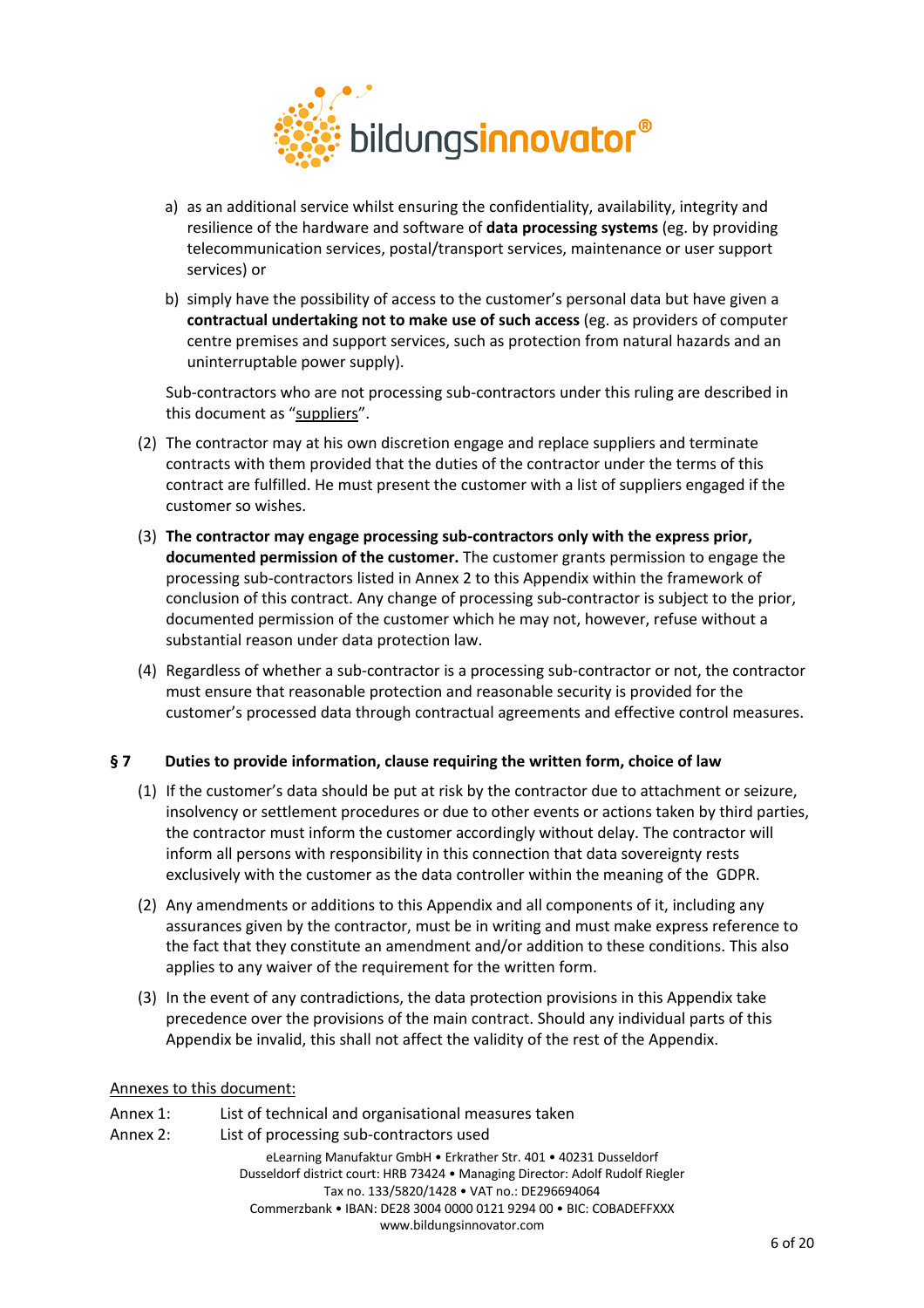

- a) as an additional service whilst ensuring the confidentiality, availability, integrity and resilience of the hardware and software of **data processing systems** (eg. by providing telecommunication services, postal/transport services, maintenance or user support services) or
- b) simply have the possibility of access to the customer's personal data but have given a **contractual undertaking not to make use of such access** (eg. as providers of computer centre premises and support services, such as protection from natural hazards and an uninterruptable power supply).

Sub-contractors who are not processing sub-contractors under this ruling are described in this document as "suppliers".

- (2) The contractor may at his own discretion engage and replace suppliers and terminate contracts with them provided that the duties of the contractor under the terms of this contract are fulfilled. He must present the customer with a list of suppliers engaged if the customer so wishes.
- (3) **The contractor may engage processing sub-contractors only with the express prior, documented permission of the customer.** The customer grants permission to engage the processing sub-contractors listed in Annex 2 to this Appendix within the framework of conclusion of this contract. Any change of processing sub-contractor is subject to the prior, documented permission of the customer which he may not, however, refuse without a substantial reason under data protection law.
- (4) Regardless of whether a sub-contractor is a processing sub-contractor or not, the contractor must ensure that reasonable protection and reasonable security is provided for the customer's processed data through contractual agreements and effective control measures.

# **§ 7 Duties to provide information, clause requiring the written form, choice of law**

- (1) If the customer's data should be put at risk by the contractor due to attachment or seizure, insolvency or settlement procedures or due to other events or actions taken by third parties, the contractor must inform the customer accordingly without delay. The contractor will inform all persons with responsibility in this connection that data sovereignty rests exclusively with the customer as the data controller within the meaning of the GDPR.
- (2) Any amendments or additions to this Appendix and all components of it, including any assurances given by the contractor, must be in writing and must make express reference to the fact that they constitute an amendment and/or addition to these conditions. This also applies to any waiver of the requirement for the written form.
- (3) In the event of any contradictions, the data protection provisions in this Appendix take precedence over the provisions of the main contract. Should any individual parts of this Appendix be invalid, this shall not affect the validity of the rest of the Appendix.

#### Annexes to this document:

eLearning Manufaktur GmbH • Erkrather Str. 401 • 40231 Dusseldorf Dusseldorf district court: HRB 73424 • Managing Director: Adolf Rudolf Riegler Tax no. 133/5820/1428 • VAT no.: DE296694064 Commerzbank • IBAN: DE28 3004 0000 0121 9294 00 • BIC: COBADEFFXXX www.bildungsinnovator.com Annex 1: List of technical and organisational measures taken Annex 2: List of processing sub-contractors used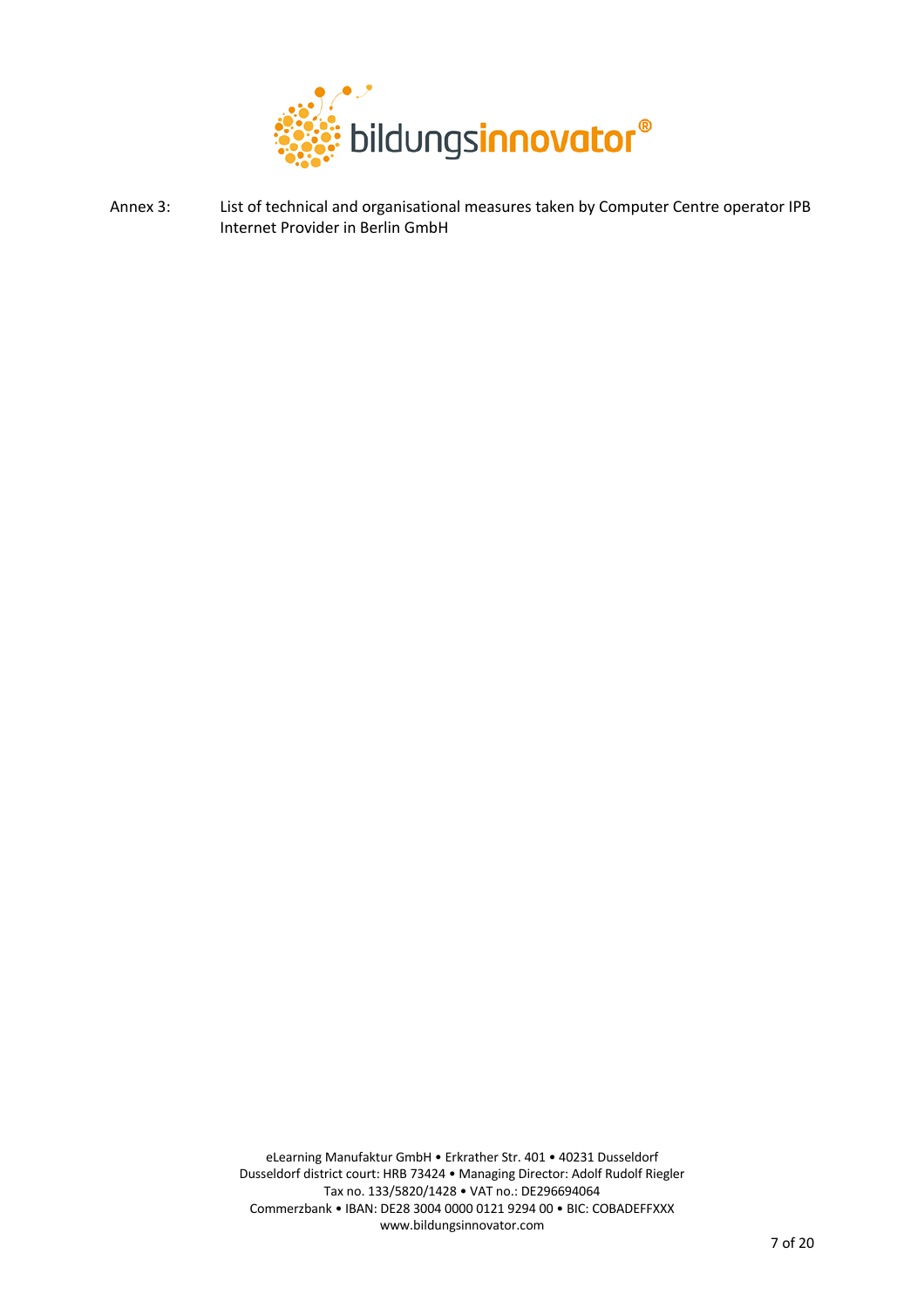

Annex 3: List of technical and organisational measures taken by Computer Centre operator IPB Internet Provider in Berlin GmbH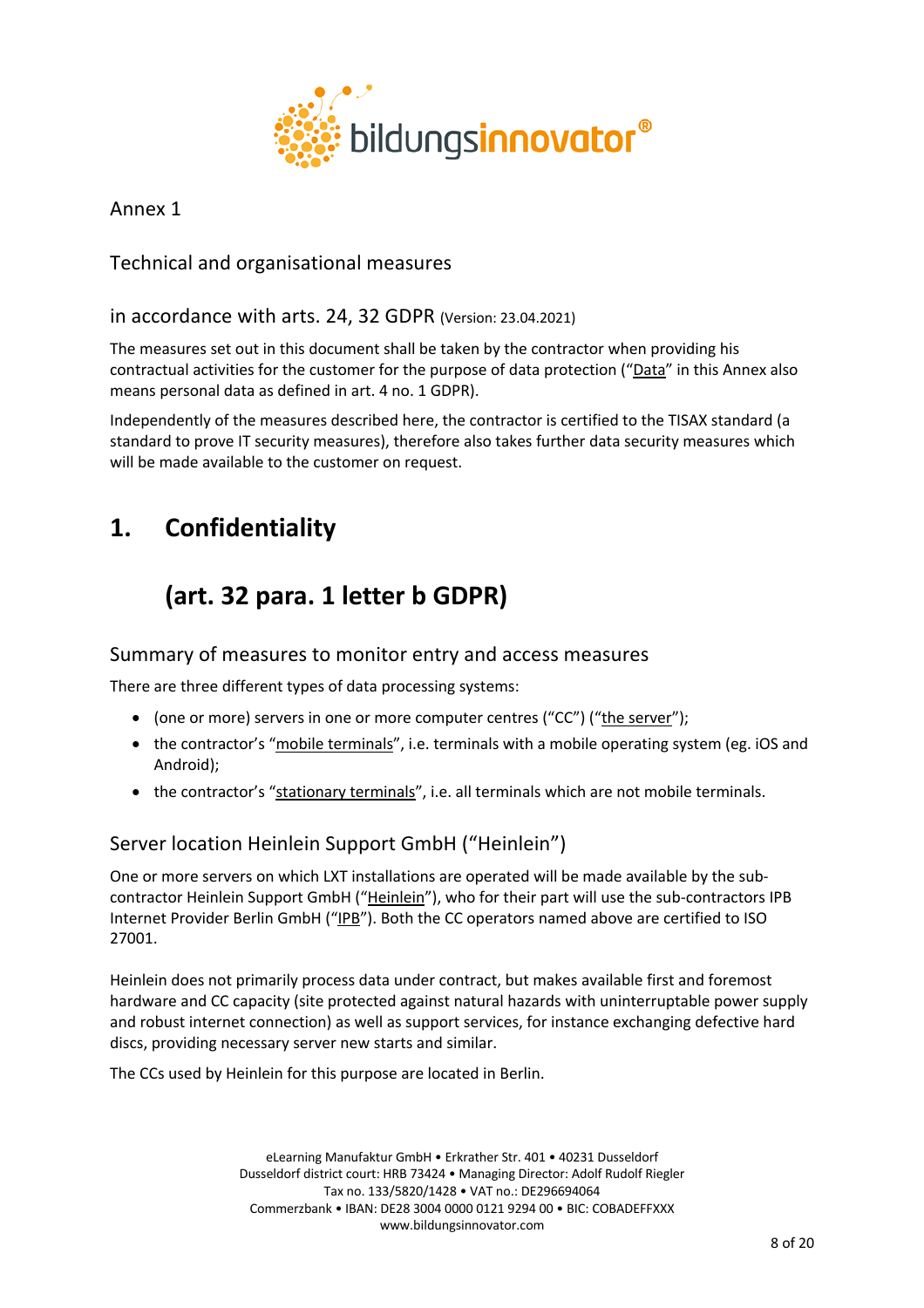

Annex 1

Technical and organisational measures

in accordance with arts. 24, 32 GDPR (Version: 23.04.2021)

The measures set out in this document shall be taken by the contractor when providing his contractual activities for the customer for the purpose of data protection ("Data" in this Annex also means personal data as defined in art. 4 no. 1 GDPR).

Independently of the measures described here, the contractor is certified to the TISAX standard (a standard to prove IT security measures), therefore also takes further data security measures which will be made available to the customer on request.

# **1. Confidentiality**

# **(art. 32 para. 1 letter b GDPR)**

# Summary of measures to monitor entry and access measures

There are three different types of data processing systems:

- (one or more) servers in one or more computer centres ("CC") ("the server");
- the contractor's "mobile terminals", i.e. terminals with a mobile operating system (eg. iOS and Android);
- the contractor's "stationary terminals", i.e. all terminals which are not mobile terminals.

# Server location Heinlein Support GmbH ("Heinlein")

One or more servers on which LXT installations are operated will be made available by the subcontractor Heinlein Support GmbH ("Heinlein"), who for their part will use the sub-contractors IPB Internet Provider Berlin GmbH ("IPB"). Both the CC operators named above are certified to ISO 27001.

Heinlein does not primarily process data under contract, but makes available first and foremost hardware and CC capacity (site protected against natural hazards with uninterruptable power supply and robust internet connection) as well as support services, for instance exchanging defective hard discs, providing necessary server new starts and similar.

The CCs used by Heinlein for this purpose are located in Berlin.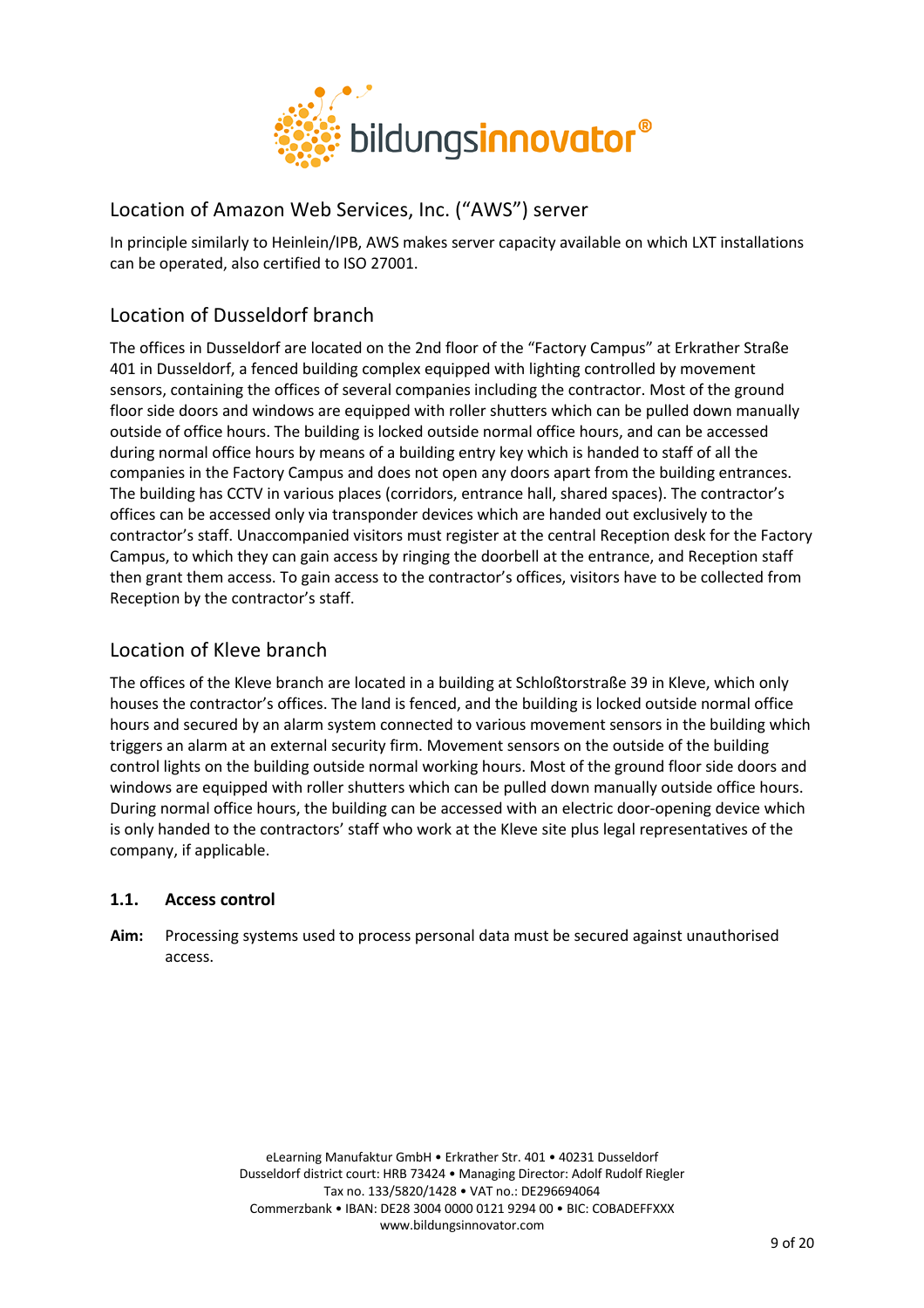

# Location of Amazon Web Services, Inc. ("AWS") server

In principle similarly to Heinlein/IPB, AWS makes server capacity available on which LXT installations can be operated, also certified to ISO 27001.

# Location of Dusseldorf branch

The offices in Dusseldorf are located on the 2nd floor of the "Factory Campus" at Erkrather Straße 401 in Dusseldorf, a fenced building complex equipped with lighting controlled by movement sensors, containing the offices of several companies including the contractor. Most of the ground floor side doors and windows are equipped with roller shutters which can be pulled down manually outside of office hours. The building is locked outside normal office hours, and can be accessed during normal office hours by means of a building entry key which is handed to staff of all the companies in the Factory Campus and does not open any doors apart from the building entrances. The building has CCTV in various places (corridors, entrance hall, shared spaces). The contractor's offices can be accessed only via transponder devices which are handed out exclusively to the contractor's staff. Unaccompanied visitors must register at the central Reception desk for the Factory Campus, to which they can gain access by ringing the doorbell at the entrance, and Reception staff then grant them access. To gain access to the contractor's offices, visitors have to be collected from Reception by the contractor's staff.

# Location of Kleve branch

The offices of the Kleve branch are located in a building at Schloßtorstraße 39 in Kleve, which only houses the contractor's offices. The land is fenced, and the building is locked outside normal office hours and secured by an alarm system connected to various movement sensors in the building which triggers an alarm at an external security firm. Movement sensors on the outside of the building control lights on the building outside normal working hours. Most of the ground floor side doors and windows are equipped with roller shutters which can be pulled down manually outside office hours. During normal office hours, the building can be accessed with an electric door-opening device which is only handed to the contractors' staff who work at the Kleve site plus legal representatives of the company, if applicable.

# **1.1. Access control**

**Aim:** Processing systems used to process personal data must be secured against unauthorised access.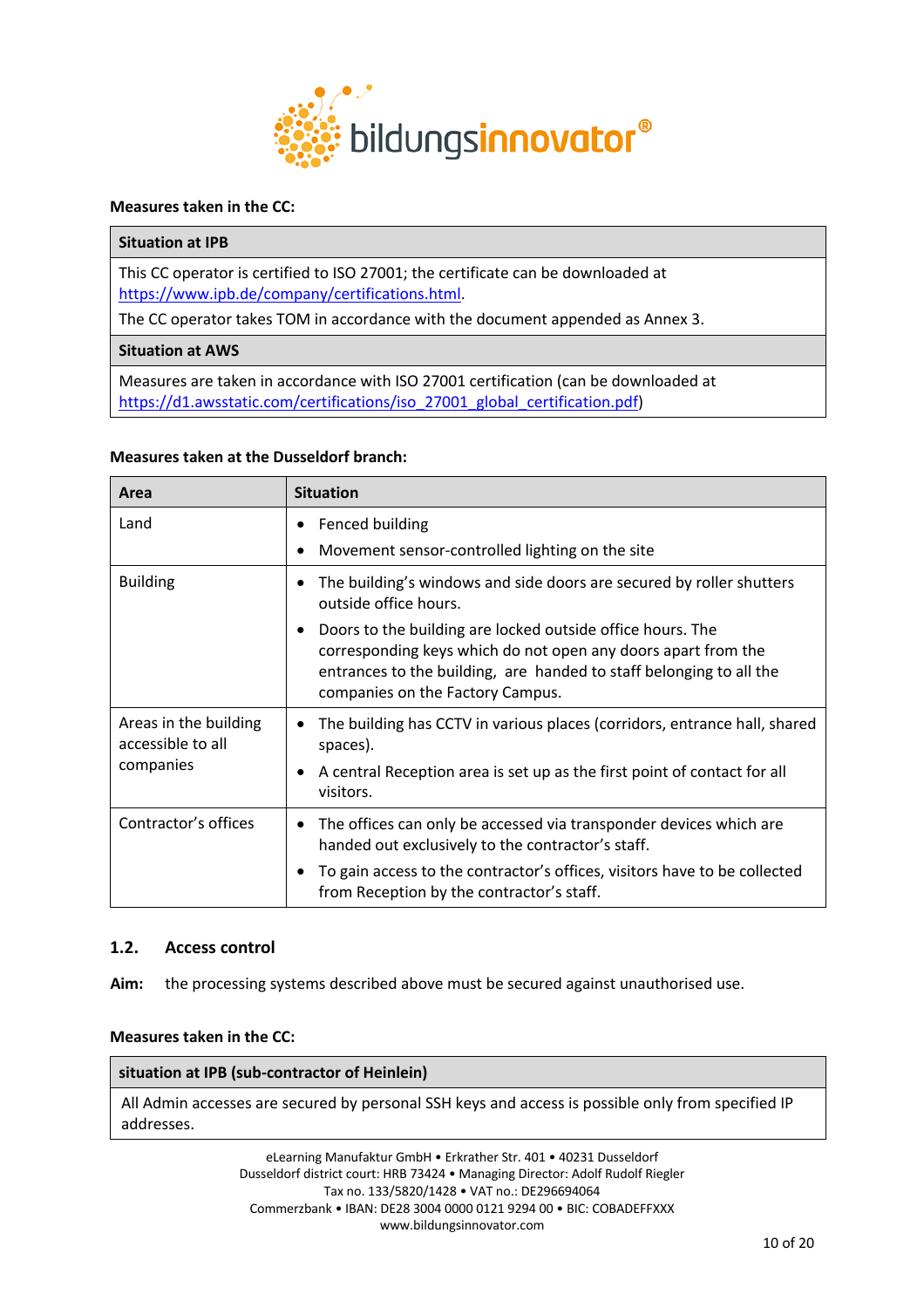

#### **Measures taken in the CC:**

# **Situation at IPB**

This CC operator is certified to ISO 27001; the certificate can be downloaded at https://www.ipb.de/company/certifications.html.

The CC operator takes TOM in accordance with the document appended as Annex 3.

#### **Situation at AWS**

Measures are taken in accordance with ISO 27001 certification (can be downloaded at https://d1.awsstatic.com/certifications/iso\_27001\_global\_certification.pdf)

#### **Measures taken at the Dusseldorf branch:**

| Area                                                    | <b>Situation</b>                                                                                                                                                                                                                                                                                                                                     |
|---------------------------------------------------------|------------------------------------------------------------------------------------------------------------------------------------------------------------------------------------------------------------------------------------------------------------------------------------------------------------------------------------------------------|
| Land                                                    | Fenced building<br>Movement sensor-controlled lighting on the site                                                                                                                                                                                                                                                                                   |
| <b>Building</b>                                         | The building's windows and side doors are secured by roller shutters<br>outside office hours.<br>Doors to the building are locked outside office hours. The<br>$\bullet$<br>corresponding keys which do not open any doors apart from the<br>entrances to the building, are handed to staff belonging to all the<br>companies on the Factory Campus. |
| Areas in the building<br>accessible to all<br>companies | The building has CCTV in various places (corridors, entrance hall, shared<br>spaces).<br>A central Reception area is set up as the first point of contact for all<br>visitors.                                                                                                                                                                       |
| Contractor's offices                                    | The offices can only be accessed via transponder devices which are<br>$\bullet$<br>handed out exclusively to the contractor's staff.<br>To gain access to the contractor's offices, visitors have to be collected<br>from Reception by the contractor's staff.                                                                                       |

# **1.2. Access control**

**Aim:** the processing systems described above must be secured against unauthorised use.

# **Measures taken in the CC:**

#### **situation at IPB (sub-contractor of Heinlein)**

All Admin accesses are secured by personal SSH keys and access is possible only from specified IP addresses.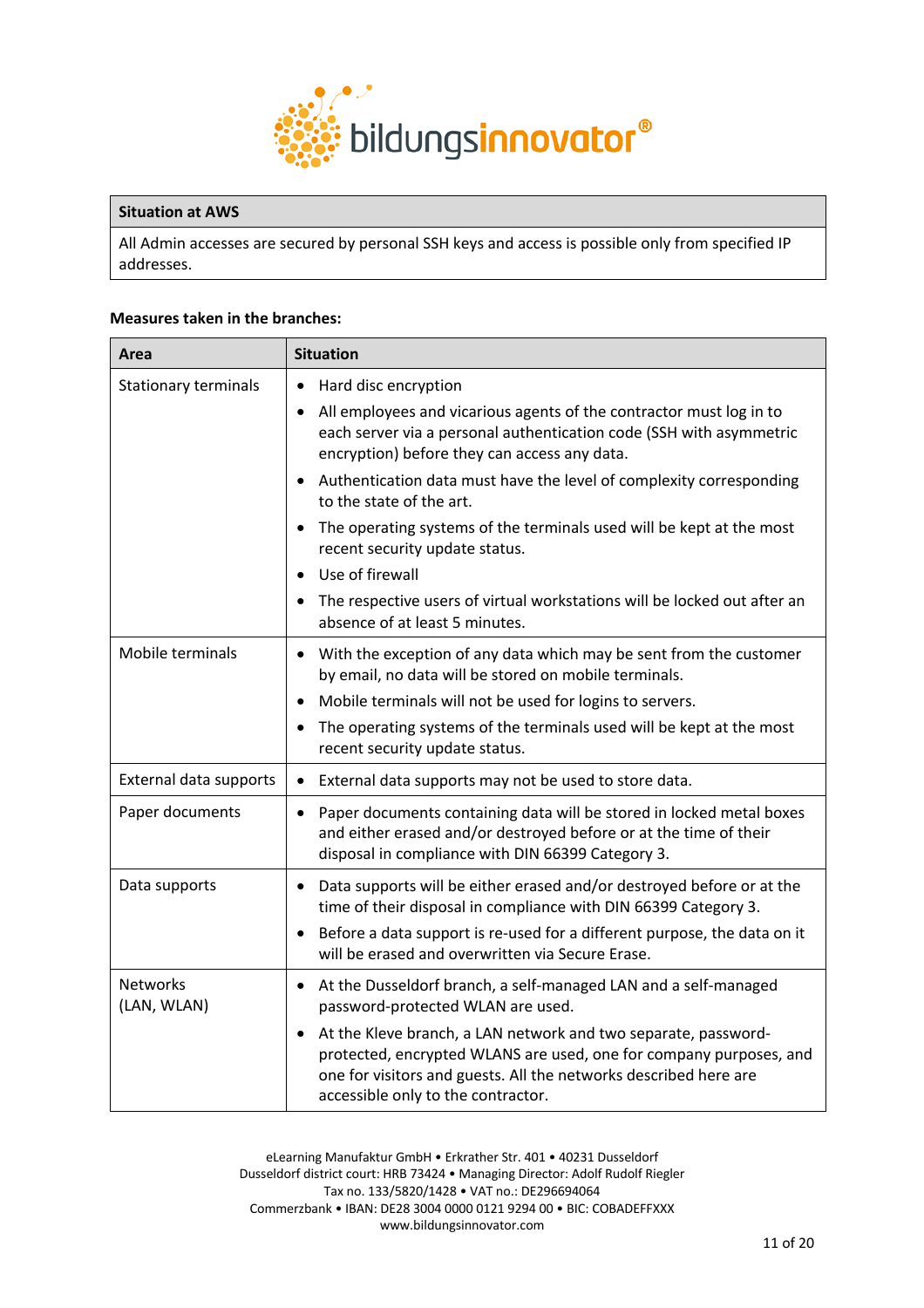

#### **Situation at AWS**

All Admin accesses are secured by personal SSH keys and access is possible only from specified IP addresses.

#### **Measures taken in the branches:**

| Area                           | <b>Situation</b>                                                                                                                                                                                                                                                                                   |
|--------------------------------|----------------------------------------------------------------------------------------------------------------------------------------------------------------------------------------------------------------------------------------------------------------------------------------------------|
| <b>Stationary terminals</b>    | Hard disc encryption<br>$\bullet$<br>All employees and vicarious agents of the contractor must log in to<br>each server via a personal authentication code (SSH with asymmetric<br>encryption) before they can access any data.<br>$\bullet$                                                       |
|                                | Authentication data must have the level of complexity corresponding<br>to the state of the art.<br>The operating systems of the terminals used will be kept at the most<br>recent security update status.                                                                                          |
|                                | Use of firewall<br>The respective users of virtual workstations will be locked out after an<br>absence of at least 5 minutes.                                                                                                                                                                      |
| Mobile terminals               | With the exception of any data which may be sent from the customer<br>$\bullet$<br>by email, no data will be stored on mobile terminals.                                                                                                                                                           |
|                                | Mobile terminals will not be used for logins to servers.<br>The operating systems of the terminals used will be kept at the most<br>$\bullet$<br>recent security update status.                                                                                                                    |
| External data supports         | External data supports may not be used to store data.<br>$\bullet$                                                                                                                                                                                                                                 |
| Paper documents                | Paper documents containing data will be stored in locked metal boxes<br>$\bullet$<br>and either erased and/or destroyed before or at the time of their<br>disposal in compliance with DIN 66399 Category 3.                                                                                        |
| Data supports                  | Data supports will be either erased and/or destroyed before or at the<br>$\bullet$<br>time of their disposal in compliance with DIN 66399 Category 3.<br>Before a data support is re-used for a different purpose, the data on it<br>$\bullet$<br>will be erased and overwritten via Secure Erase. |
| <b>Networks</b><br>(LAN, WLAN) | At the Dusseldorf branch, a self-managed LAN and a self-managed<br>$\bullet$<br>password-protected WLAN are used.                                                                                                                                                                                  |
|                                | At the Kleve branch, a LAN network and two separate, password-<br>protected, encrypted WLANS are used, one for company purposes, and<br>one for visitors and guests. All the networks described here are<br>accessible only to the contractor.                                                     |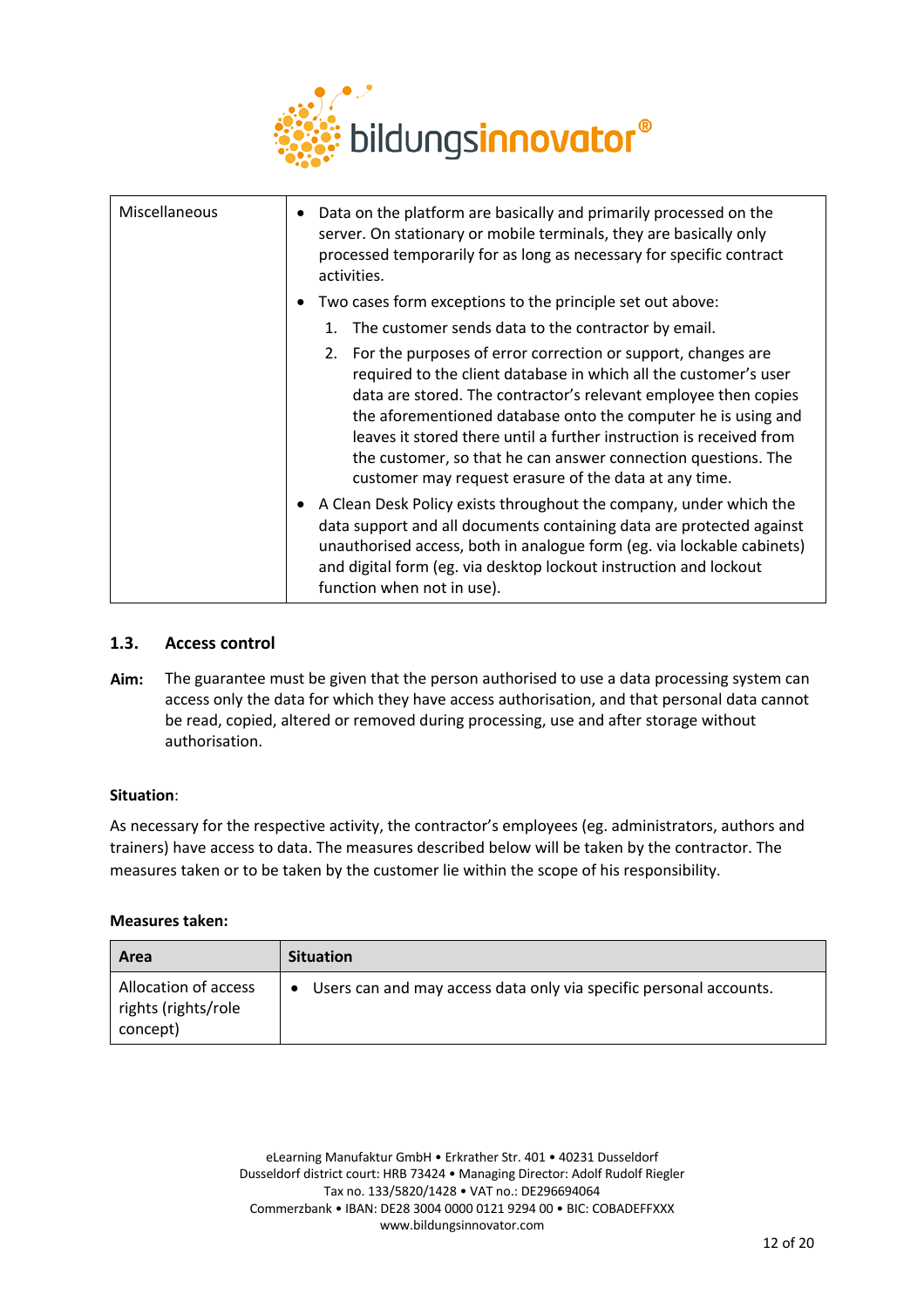

| Miscellaneous | Data on the platform are basically and primarily processed on the<br>٠<br>server. On stationary or mobile terminals, they are basically only<br>processed temporarily for as long as necessary for specific contract<br>activities.                                                                                                                                                                                                                                      |
|---------------|--------------------------------------------------------------------------------------------------------------------------------------------------------------------------------------------------------------------------------------------------------------------------------------------------------------------------------------------------------------------------------------------------------------------------------------------------------------------------|
|               | Two cases form exceptions to the principle set out above:<br>$\bullet$                                                                                                                                                                                                                                                                                                                                                                                                   |
|               | The customer sends data to the contractor by email.<br>1.                                                                                                                                                                                                                                                                                                                                                                                                                |
|               | 2. For the purposes of error correction or support, changes are<br>required to the client database in which all the customer's user<br>data are stored. The contractor's relevant employee then copies<br>the aforementioned database onto the computer he is using and<br>leaves it stored there until a further instruction is received from<br>the customer, so that he can answer connection questions. The<br>customer may request erasure of the data at any time. |
|               | A Clean Desk Policy exists throughout the company, under which the<br>$\bullet$<br>data support and all documents containing data are protected against<br>unauthorised access, both in analogue form (eg. via lockable cabinets)<br>and digital form (eg. via desktop lockout instruction and lockout<br>function when not in use).                                                                                                                                     |

# **1.3. Access control**

**Aim:** The guarantee must be given that the person authorised to use a data processing system can access only the data for which they have access authorisation, and that personal data cannot be read, copied, altered or removed during processing, use and after storage without authorisation.

# **Situation**:

As necessary for the respective activity, the contractor's employees (eg. administrators, authors and trainers) have access to data. The measures described below will be taken by the contractor. The measures taken or to be taken by the customer lie within the scope of his responsibility.

# **Measures taken:**

| Area                                                    | <b>Situation</b>                                                                |
|---------------------------------------------------------|---------------------------------------------------------------------------------|
| Allocation of access<br>rights (rights/role<br>concept) | Users can and may access data only via specific personal accounts.<br>$\bullet$ |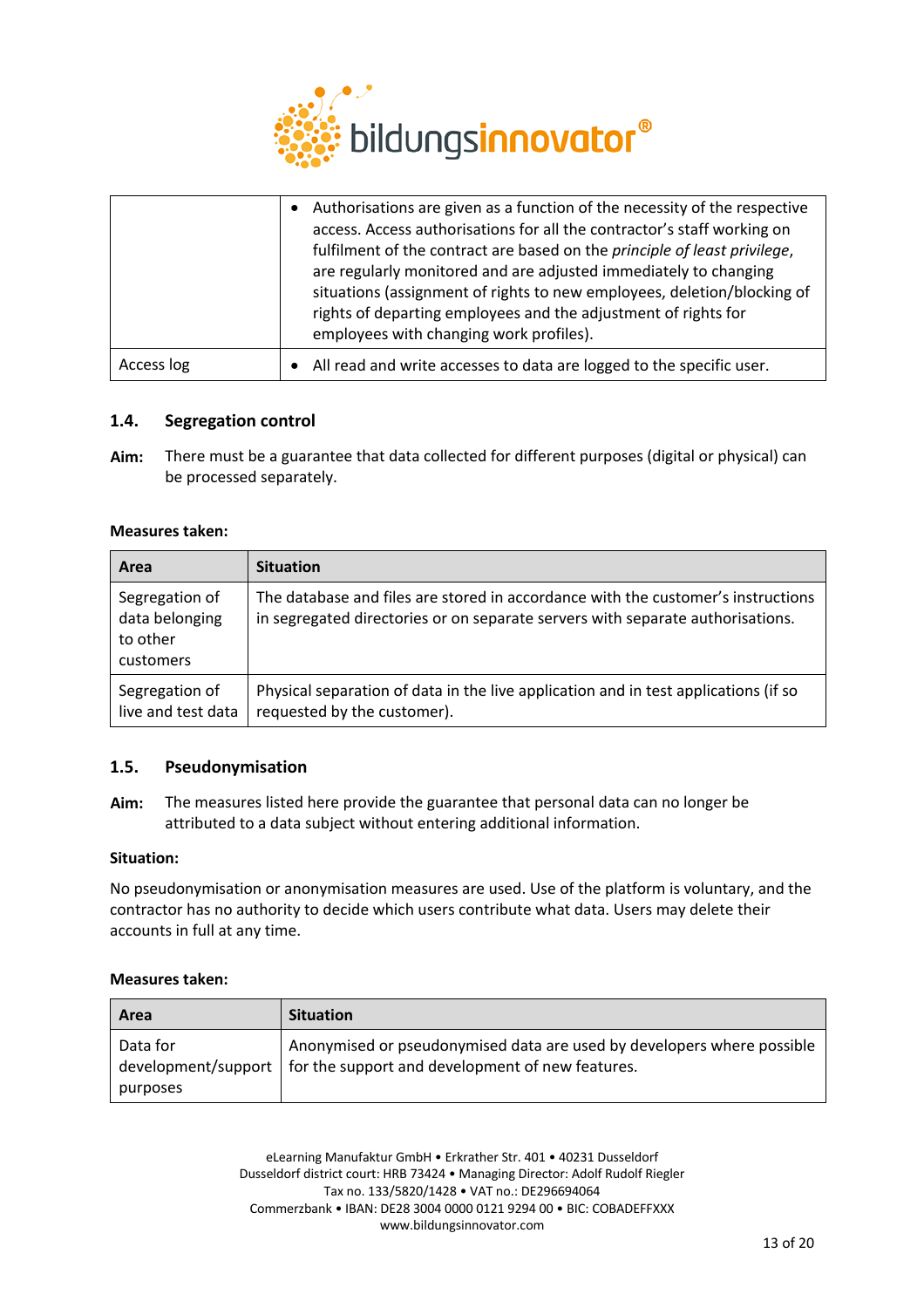

|            | Authorisations are given as a function of the necessity of the respective<br>access. Access authorisations for all the contractor's staff working on<br>fulfilment of the contract are based on the principle of least privilege,<br>are regularly monitored and are adjusted immediately to changing<br>situations (assignment of rights to new employees, deletion/blocking of<br>rights of departing employees and the adjustment of rights for<br>employees with changing work profiles). |
|------------|-----------------------------------------------------------------------------------------------------------------------------------------------------------------------------------------------------------------------------------------------------------------------------------------------------------------------------------------------------------------------------------------------------------------------------------------------------------------------------------------------|
| Access log | All read and write accesses to data are logged to the specific user.                                                                                                                                                                                                                                                                                                                                                                                                                          |

# **1.4. Segregation control**

**Aim:** There must be a guarantee that data collected for different purposes (digital or physical) can be processed separately.

#### **Measures taken:**

| Area                                                      | <b>Situation</b>                                                                                                                                                   |
|-----------------------------------------------------------|--------------------------------------------------------------------------------------------------------------------------------------------------------------------|
| Segregation of<br>data belonging<br>to other<br>customers | The database and files are stored in accordance with the customer's instructions<br>in segregated directories or on separate servers with separate authorisations. |
| Segregation of<br>live and test data                      | Physical separation of data in the live application and in test applications (if so<br>requested by the customer).                                                 |

# **1.5. Pseudonymisation**

**Aim:** The measures listed here provide the guarantee that personal data can no longer be attributed to a data subject without entering additional information.

#### **Situation:**

No pseudonymisation or anonymisation measures are used. Use of the platform is voluntary, and the contractor has no authority to decide which users contribute what data. Users may delete their accounts in full at any time.

#### **Measures taken:**

| Area                                        | <b>Situation</b>                                                                                                           |
|---------------------------------------------|----------------------------------------------------------------------------------------------------------------------------|
| Data for<br>development/support<br>purposes | Anonymised or pseudonymised data are used by developers where possible<br>for the support and development of new features. |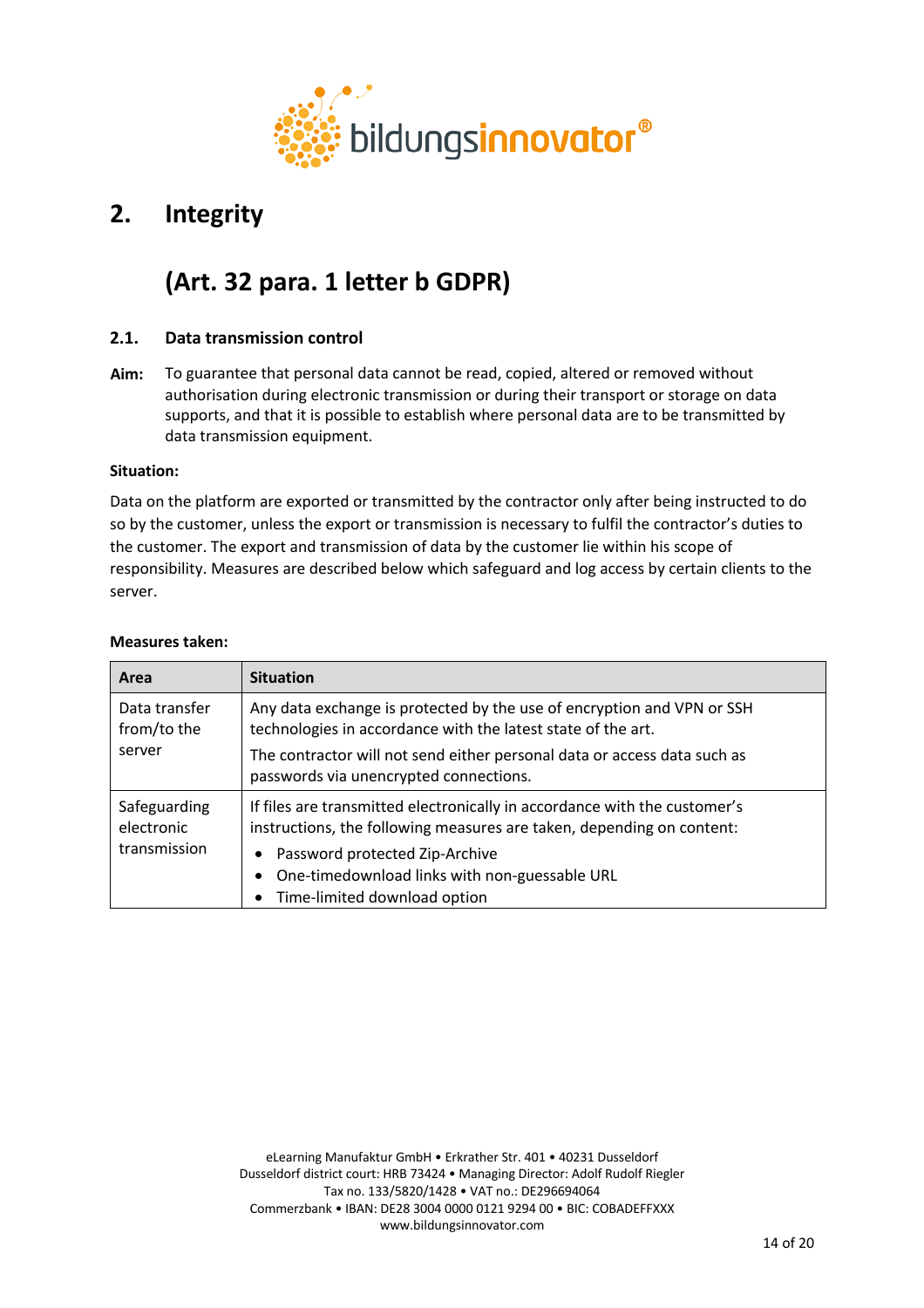

# **2. Integrity**

# **(Art. 32 para. 1 letter b GDPR)**

# **2.1. Data transmission control**

**Aim:** To guarantee that personal data cannot be read, copied, altered or removed without authorisation during electronic transmission or during their transport or storage on data supports, and that it is possible to establish where personal data are to be transmitted by data transmission equipment.

# **Situation:**

Data on the platform are exported or transmitted by the contractor only after being instructed to do so by the customer, unless the export or transmission is necessary to fulfil the contractor's duties to the customer. The export and transmission of data by the customer lie within his scope of responsibility. Measures are described below which safeguard and log access by certain clients to the server.

| Area                         | <b>Situation</b>                                                                                                                                   |
|------------------------------|----------------------------------------------------------------------------------------------------------------------------------------------------|
| Data transfer<br>from/to the | Any data exchange is protected by the use of encryption and VPN or SSH<br>technologies in accordance with the latest state of the art.             |
| server                       | The contractor will not send either personal data or access data such as<br>passwords via unencrypted connections.                                 |
| Safeguarding<br>electronic   | If files are transmitted electronically in accordance with the customer's<br>instructions, the following measures are taken, depending on content: |
| transmission                 | Password protected Zip-Archive<br>$\bullet$                                                                                                        |
|                              | One-timedownload links with non-guessable URL<br>$\bullet$                                                                                         |
|                              | Time-limited download option<br>$\bullet$                                                                                                          |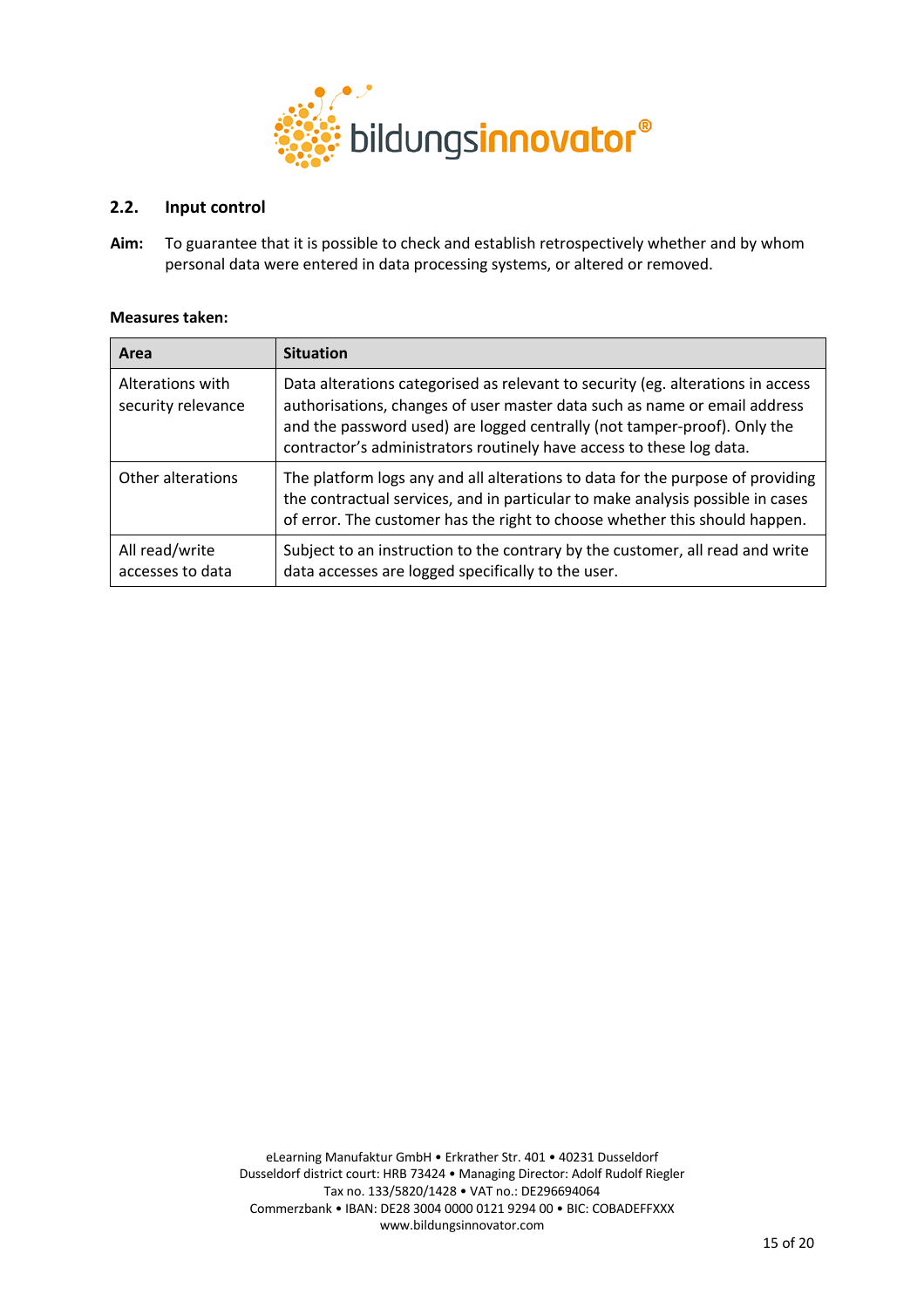

# **2.2. Input control**

**Aim:** To guarantee that it is possible to check and establish retrospectively whether and by whom personal data were entered in data processing systems, or altered or removed.

| Area                                   | <b>Situation</b>                                                                                                                                                                                                                                                                                                 |
|----------------------------------------|------------------------------------------------------------------------------------------------------------------------------------------------------------------------------------------------------------------------------------------------------------------------------------------------------------------|
| Alterations with<br>security relevance | Data alterations categorised as relevant to security (eg. alterations in access<br>authorisations, changes of user master data such as name or email address<br>and the password used) are logged centrally (not tamper-proof). Only the<br>contractor's administrators routinely have access to these log data. |
| Other alterations                      | The platform logs any and all alterations to data for the purpose of providing<br>the contractual services, and in particular to make analysis possible in cases<br>of error. The customer has the right to choose whether this should happen.                                                                   |
| All read/write<br>accesses to data     | Subject to an instruction to the contrary by the customer, all read and write<br>data accesses are logged specifically to the user.                                                                                                                                                                              |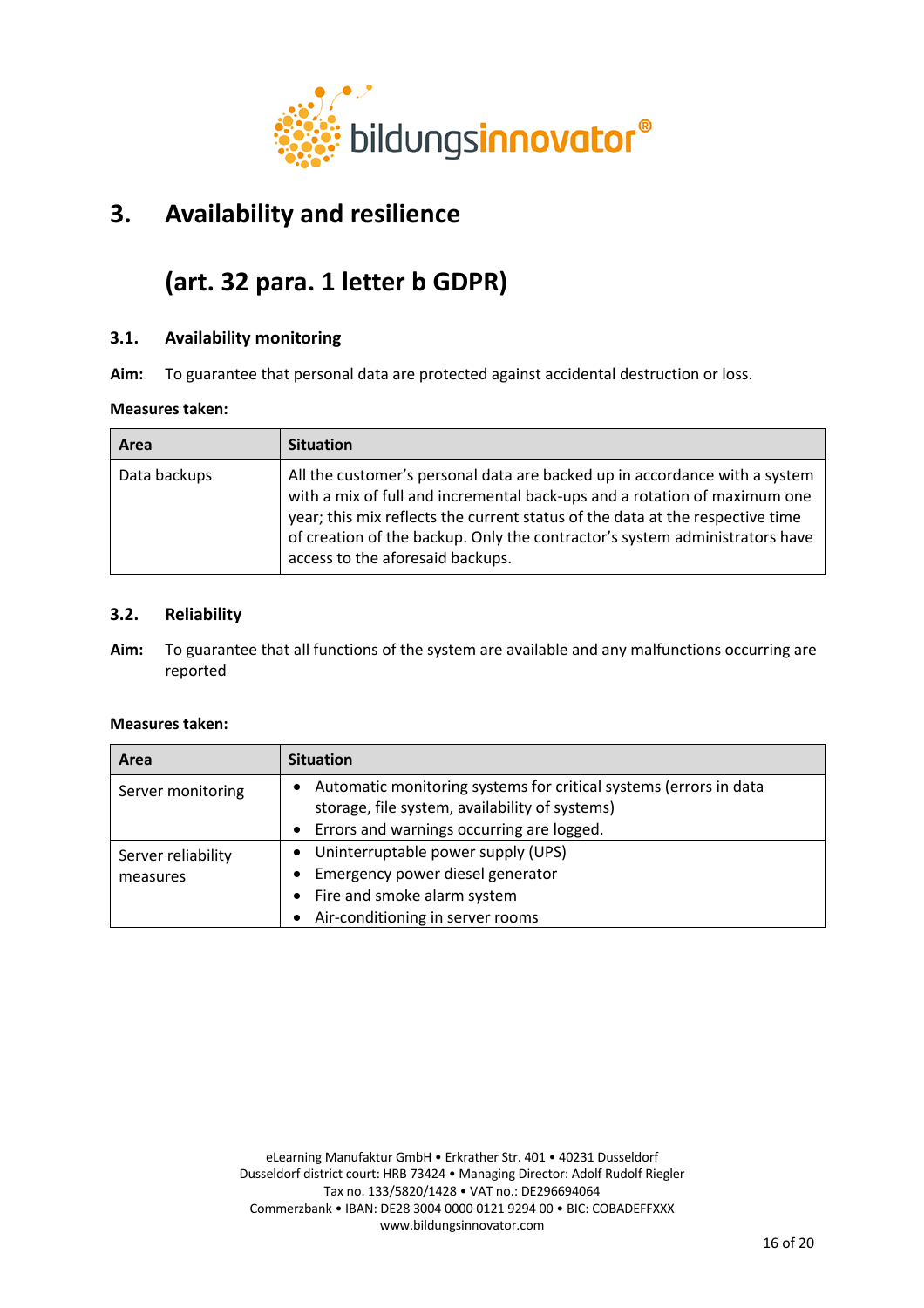

# **3. Availability and resilience**

# **(art. 32 para. 1 letter b GDPR)**

# **3.1. Availability monitoring**

**Aim:** To guarantee that personal data are protected against accidental destruction or loss.

# **Measures taken:**

| Area         | <b>Situation</b>                                                                                                                                                                                                                                                                                                                                            |
|--------------|-------------------------------------------------------------------------------------------------------------------------------------------------------------------------------------------------------------------------------------------------------------------------------------------------------------------------------------------------------------|
| Data backups | All the customer's personal data are backed up in accordance with a system<br>with a mix of full and incremental back-ups and a rotation of maximum one<br>year; this mix reflects the current status of the data at the respective time<br>of creation of the backup. Only the contractor's system administrators have<br>access to the aforesaid backups. |

# **3.2. Reliability**

**Aim:** To guarantee that all functions of the system are available and any malfunctions occurring are reported

| Area               | <b>Situation</b>                                                                                                                 |
|--------------------|----------------------------------------------------------------------------------------------------------------------------------|
| Server monitoring  | Automatic monitoring systems for critical systems (errors in data<br>$\bullet$<br>storage, file system, availability of systems) |
|                    | Errors and warnings occurring are logged.<br>$\bullet$                                                                           |
| Server reliability | • Uninterruptable power supply (UPS)                                                                                             |
| measures           | Emergency power diesel generator<br>$\bullet$                                                                                    |
|                    | • Fire and smoke alarm system                                                                                                    |
|                    | Air-conditioning in server rooms                                                                                                 |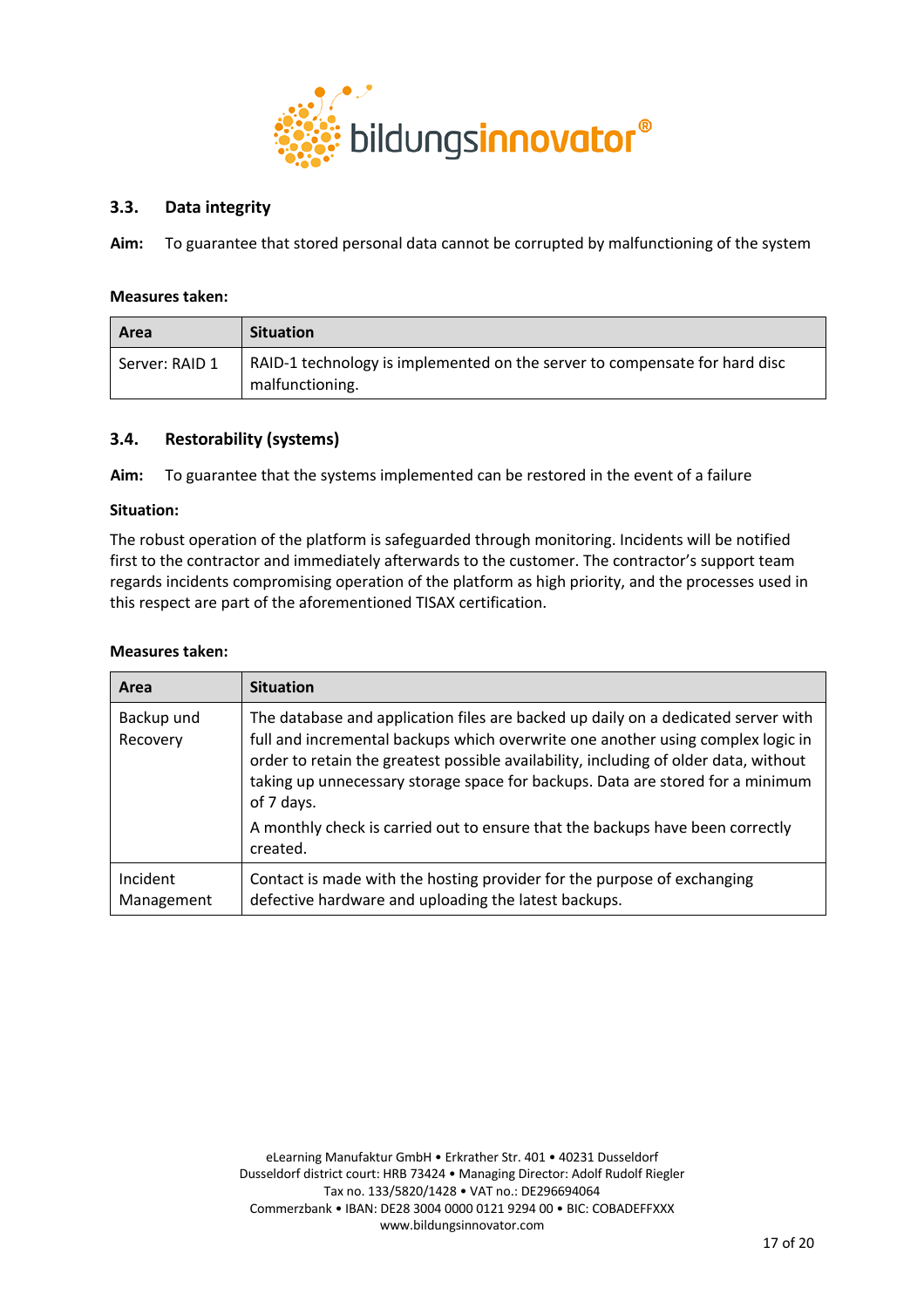

# **3.3. Data integrity**

**Aim:** To guarantee that stored personal data cannot be corrupted by malfunctioning of the system

#### **Measures taken:**

| Area           | <b>Situation</b>                                                                              |
|----------------|-----------------------------------------------------------------------------------------------|
| Server: RAID 1 | RAID-1 technology is implemented on the server to compensate for hard disc<br>malfunctioning. |

# **3.4. Restorability (systems)**

**Aim:** To guarantee that the systems implemented can be restored in the event of a failure

#### **Situation:**

The robust operation of the platform is safeguarded through monitoring. Incidents will be notified first to the contractor and immediately afterwards to the customer. The contractor's support team regards incidents compromising operation of the platform as high priority, and the processes used in this respect are part of the aforementioned TISAX certification.

| Area                   | <b>Situation</b>                                                                                                                                                                                                                                                                                                                                                                                                                              |
|------------------------|-----------------------------------------------------------------------------------------------------------------------------------------------------------------------------------------------------------------------------------------------------------------------------------------------------------------------------------------------------------------------------------------------------------------------------------------------|
| Backup und<br>Recovery | The database and application files are backed up daily on a dedicated server with<br>full and incremental backups which overwrite one another using complex logic in<br>order to retain the greatest possible availability, including of older data, without<br>taking up unnecessary storage space for backups. Data are stored for a minimum<br>of 7 days.<br>A monthly check is carried out to ensure that the backups have been correctly |
|                        | created.                                                                                                                                                                                                                                                                                                                                                                                                                                      |
| Incident<br>Management | Contact is made with the hosting provider for the purpose of exchanging<br>defective hardware and uploading the latest backups.                                                                                                                                                                                                                                                                                                               |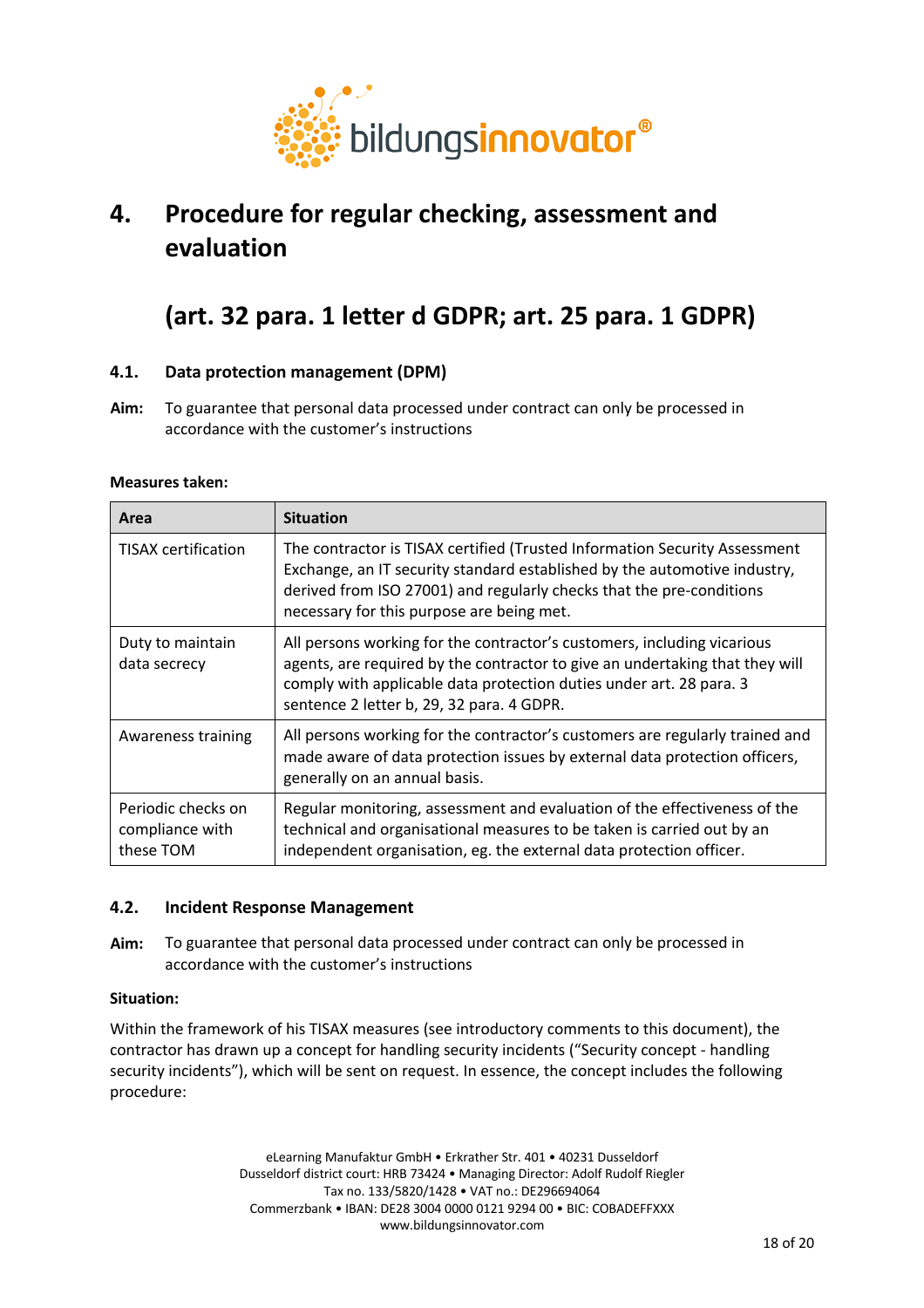

# **4. Procedure for regular checking, assessment and evaluation**

# **(art. 32 para. 1 letter d GDPR; art. 25 para. 1 GDPR)**

# **4.1. Data protection management (DPM)**

**Aim:** To guarantee that personal data processed under contract can only be processed in accordance with the customer's instructions

# **Measures taken:**

| Area                                               | <b>Situation</b>                                                                                                                                                                                                                                                             |  |  |
|----------------------------------------------------|------------------------------------------------------------------------------------------------------------------------------------------------------------------------------------------------------------------------------------------------------------------------------|--|--|
| <b>TISAX</b> certification                         | The contractor is TISAX certified (Trusted Information Security Assessment<br>Exchange, an IT security standard established by the automotive industry,<br>derived from ISO 27001) and regularly checks that the pre-conditions<br>necessary for this purpose are being met. |  |  |
| Duty to maintain<br>data secrecy                   | All persons working for the contractor's customers, including vicarious<br>agents, are required by the contractor to give an undertaking that they will<br>comply with applicable data protection duties under art. 28 para. 3<br>sentence 2 letter b, 29, 32 para. 4 GDPR.  |  |  |
| Awareness training                                 | All persons working for the contractor's customers are regularly trained and<br>made aware of data protection issues by external data protection officers,<br>generally on an annual basis.                                                                                  |  |  |
| Periodic checks on<br>compliance with<br>these TOM | Regular monitoring, assessment and evaluation of the effectiveness of the<br>technical and organisational measures to be taken is carried out by an<br>independent organisation, eg. the external data protection officer.                                                   |  |  |

# **4.2. Incident Response Management**

**Aim:** To guarantee that personal data processed under contract can only be processed in accordance with the customer's instructions

# **Situation:**

Within the framework of his TISAX measures (see introductory comments to this document), the contractor has drawn up a concept for handling security incidents ("Security concept - handling security incidents"), which will be sent on request. In essence, the concept includes the following procedure: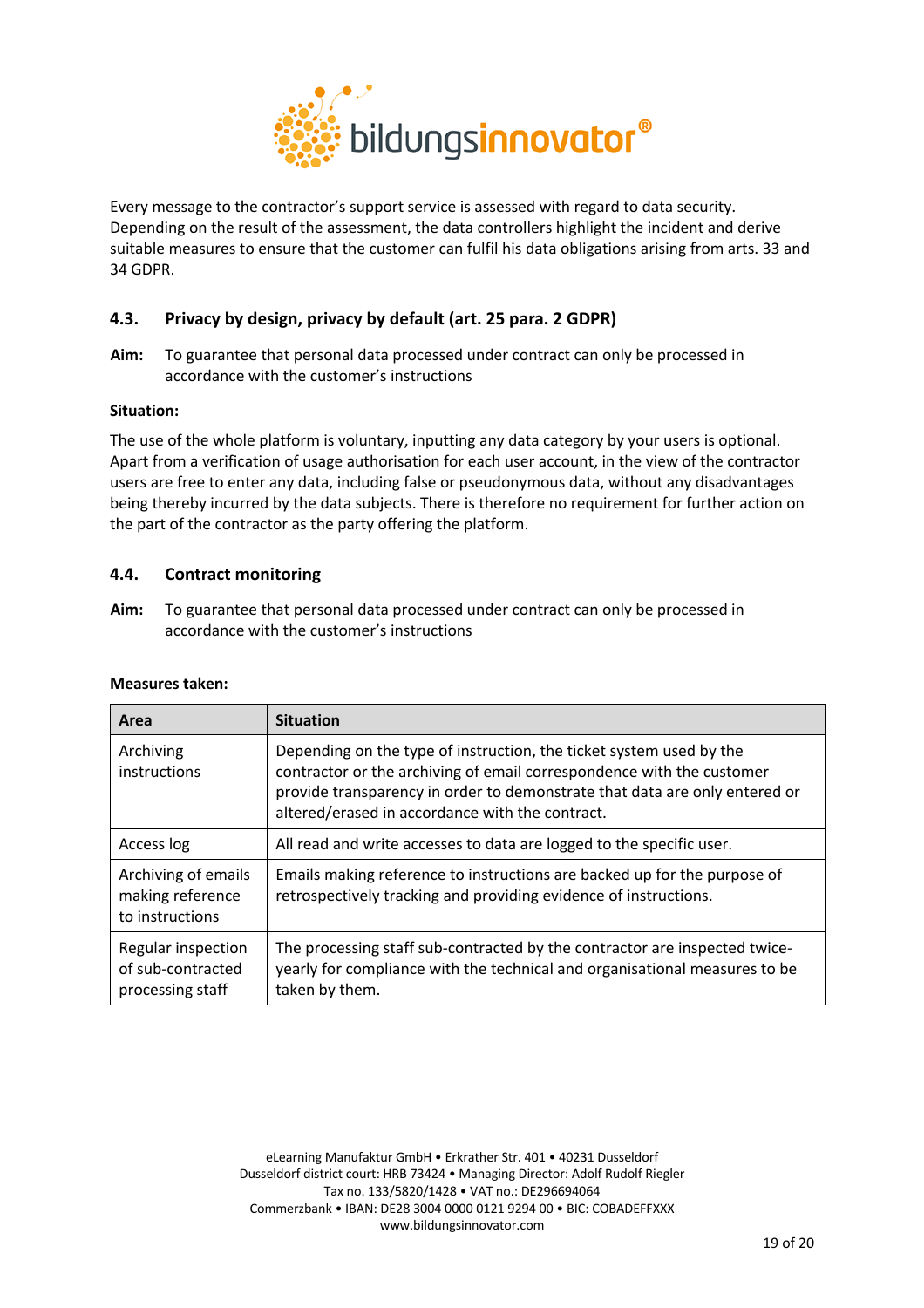

Every message to the contractor's support service is assessed with regard to data security. Depending on the result of the assessment, the data controllers highlight the incident and derive suitable measures to ensure that the customer can fulfil his data obligations arising from arts. 33 and 34 GDPR.

# **4.3. Privacy by design, privacy by default (art. 25 para. 2 GDPR)**

**Aim:** To guarantee that personal data processed under contract can only be processed in accordance with the customer's instructions

# **Situation:**

The use of the whole platform is voluntary, inputting any data category by your users is optional. Apart from a verification of usage authorisation for each user account, in the view of the contractor users are free to enter any data, including false or pseudonymous data, without any disadvantages being thereby incurred by the data subjects. There is therefore no requirement for further action on the part of the contractor as the party offering the platform.

# **4.4. Contract monitoring**

**Aim:** To guarantee that personal data processed under contract can only be processed in accordance with the customer's instructions

| Area                                                        | <b>Situation</b>                                                                                                                                                                                                                                                              |
|-------------------------------------------------------------|-------------------------------------------------------------------------------------------------------------------------------------------------------------------------------------------------------------------------------------------------------------------------------|
| Archiving<br>instructions                                   | Depending on the type of instruction, the ticket system used by the<br>contractor or the archiving of email correspondence with the customer<br>provide transparency in order to demonstrate that data are only entered or<br>altered/erased in accordance with the contract. |
| Access log                                                  | All read and write accesses to data are logged to the specific user.                                                                                                                                                                                                          |
| Archiving of emails<br>making reference<br>to instructions  | Emails making reference to instructions are backed up for the purpose of<br>retrospectively tracking and providing evidence of instructions.                                                                                                                                  |
| Regular inspection<br>of sub-contracted<br>processing staff | The processing staff sub-contracted by the contractor are inspected twice-<br>yearly for compliance with the technical and organisational measures to be<br>taken by them.                                                                                                    |

# **Measures taken:**